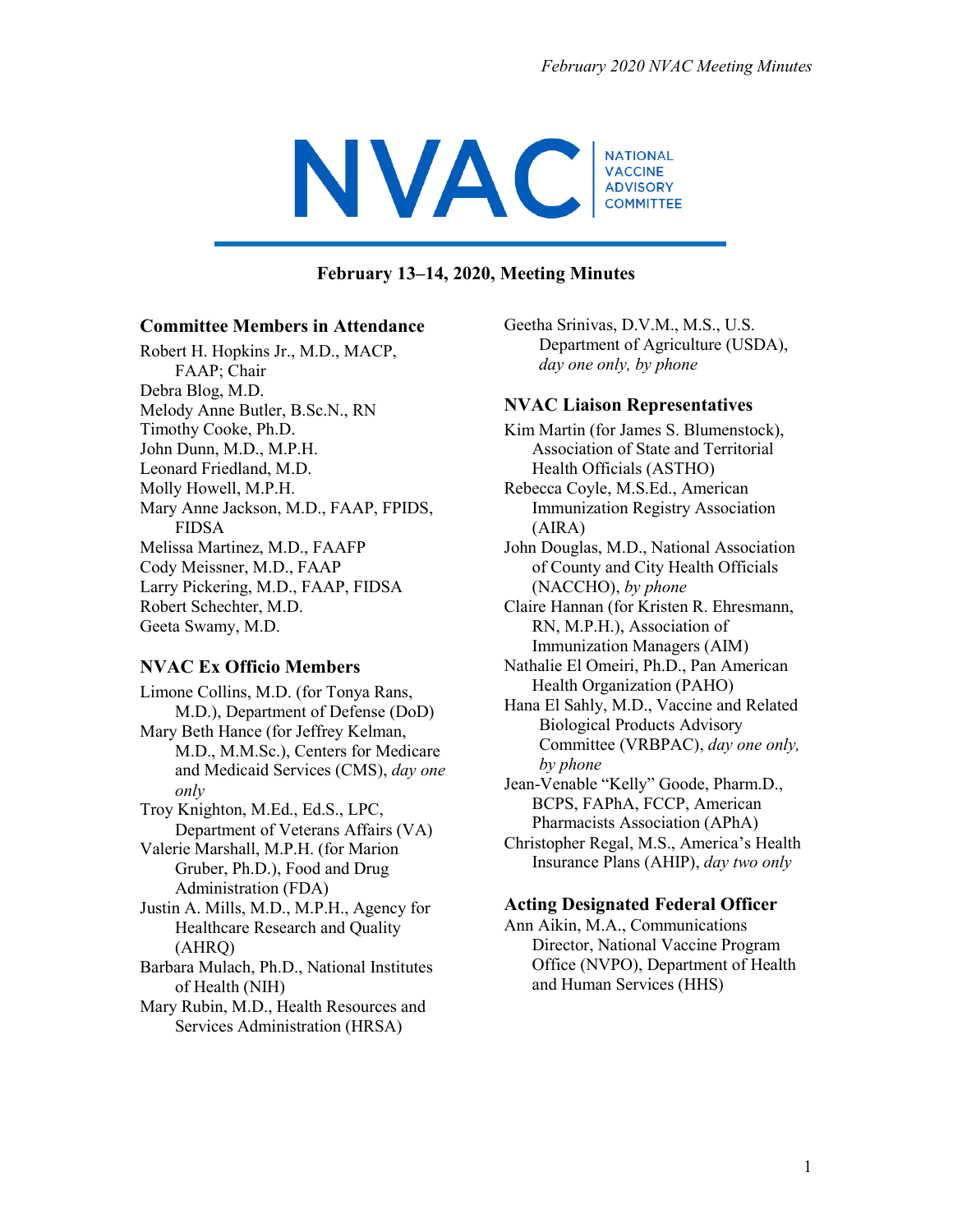

#### **February 13–14, 2020, Meeting Minutes**

#### **Committee Members in Attendance**

Robert H. Hopkins Jr., M.D., MACP, FAAP; Chair Debra Blog, M.D. Melody Anne Butler, B.Sc.N., RN Timothy Cooke, Ph.D. John Dunn, M.D., M.P.H. Leonard Friedland, M.D. Molly Howell, M.P.H. Mary Anne Jackson, M.D., FAAP, FPIDS, FIDSA Melissa Martinez, M.D., FAAFP Cody Meissner, M.D., FAAP Larry Pickering, M.D., FAAP, FIDSA Robert Schechter, M.D. Geeta Swamy, M.D.

#### **NVAC Ex Officio Members**

Limone Collins, M.D. (for Tonya Rans, M.D.), Department of Defense (DoD) Mary Beth Hance (for Jeffrey Kelman, M.D., M.M.Sc.), Centers for Medicare and Medicaid Services (CMS), *day one only*

Troy Knighton, M.Ed., Ed.S., LPC, Department of Veterans Affairs (VA)

Valerie Marshall, M.P.H. (for Marion Gruber, Ph.D.), Food and Drug Administration (FDA)

Justin A. Mills, M.D., M.P.H., Agency for Healthcare Research and Quality (AHRQ)

Barbara Mulach, Ph.D., National Institutes of Health (NIH)

Mary Rubin, M.D., Health Resources and Services Administration (HRSA)

Geetha Srinivas, D.V.M., M.S., U.S. Department of Agriculture (USDA), *day one only, by phone*

#### **NVAC Liaison Representatives**

- Kim Martin (for James S. Blumenstock), Association of State and Territorial Health Officials (ASTHO)
- Rebecca Coyle, M.S.Ed., American Immunization Registry Association (AIRA)

John Douglas, M.D., National Association of County and City Health Officials (NACCHO), *by phone*

Claire Hannan (for Kristen R. Ehresmann, RN, M.P.H.), Association of Immunization Managers (AIM)

Nathalie El Omeiri, Ph.D., Pan American Health Organization (PAHO)

Hana El Sahly, M.D., Vaccine and Related Biological Products Advisory Committee (VRBPAC), *day one only, by phone*

Jean-Venable "Kelly" Goode, Pharm.D., BCPS, FAPhA, FCCP, American Pharmacists Association (APhA)

Christopher Regal, M.S., America's Health Insurance Plans (AHIP), *day two only*

#### **Acting Designated Federal Officer**

Ann Aikin, M.A., Communications Director, National Vaccine Program Office (NVPO), Department of Health and Human Services (HHS)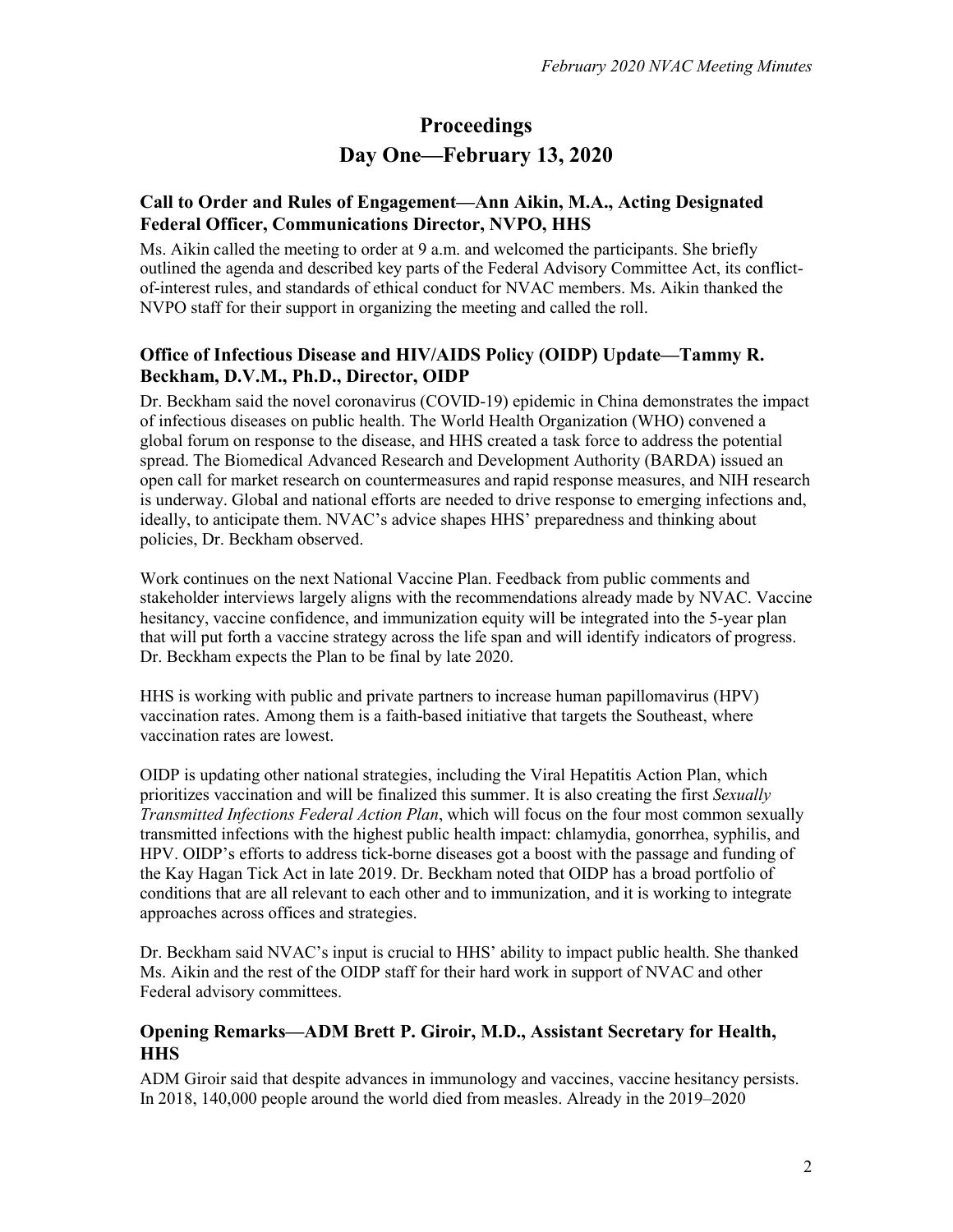# **Proceedings Day One—February 13, 2020**

### **Call to Order and Rules of Engagement—Ann Aikin, M.A., Acting Designated Federal Officer, Communications Director, NVPO, HHS**

Ms. Aikin called the meeting to order at 9 a.m. and welcomed the participants. She briefly outlined the agenda and described key parts of the Federal Advisory Committee Act, its conflictof-interest rules, and standards of ethical conduct for NVAC members. Ms. Aikin thanked the NVPO staff for their support in organizing the meeting and called the roll.

### **Office of Infectious Disease and HIV/AIDS Policy (OIDP) Update—Tammy R. Beckham, D.V.M., Ph.D., Director, OIDP**

Dr. Beckham said the novel coronavirus (COVID-19) epidemic in China demonstrates the impact of infectious diseases on public health. The World Health Organization (WHO) convened a global forum on response to the disease, and HHS created a task force to address the potential spread. The Biomedical Advanced Research and Development Authority (BARDA) issued an open call for market research on countermeasures and rapid response measures, and NIH research is underway. Global and national efforts are needed to drive response to emerging infections and, ideally, to anticipate them. NVAC's advice shapes HHS' preparedness and thinking about policies, Dr. Beckham observed.

Work continues on the next National Vaccine Plan. Feedback from public comments and stakeholder interviews largely aligns with the recommendations already made by NVAC. Vaccine hesitancy, vaccine confidence, and immunization equity will be integrated into the 5-year plan that will put forth a vaccine strategy across the life span and will identify indicators of progress. Dr. Beckham expects the Plan to be final by late 2020.

HHS is working with public and private partners to increase human papillomavirus (HPV) vaccination rates. Among them is a faith-based initiative that targets the Southeast, where vaccination rates are lowest.

OIDP is updating other national strategies, including the Viral Hepatitis Action Plan, which prioritizes vaccination and will be finalized this summer. It is also creating the first *Sexually Transmitted Infections Federal Action Plan*, which will focus on the four most common sexually transmitted infections with the highest public health impact: chlamydia, gonorrhea, syphilis, and HPV. OIDP's efforts to address tick-borne diseases got a boost with the passage and funding of the Kay Hagan Tick Act in late 2019. Dr. Beckham noted that OIDP has a broad portfolio of conditions that are all relevant to each other and to immunization, and it is working to integrate approaches across offices and strategies.

Dr. Beckham said NVAC's input is crucial to HHS' ability to impact public health. She thanked Ms. Aikin and the rest of the OIDP staff for their hard work in support of NVAC and other Federal advisory committees.

### **Opening Remarks—ADM Brett P. Giroir, M.D., Assistant Secretary for Health, HHS**

ADM Giroir said that despite advances in immunology and vaccines, vaccine hesitancy persists. In 2018, 140,000 people around the world died from measles. Already in the 2019–2020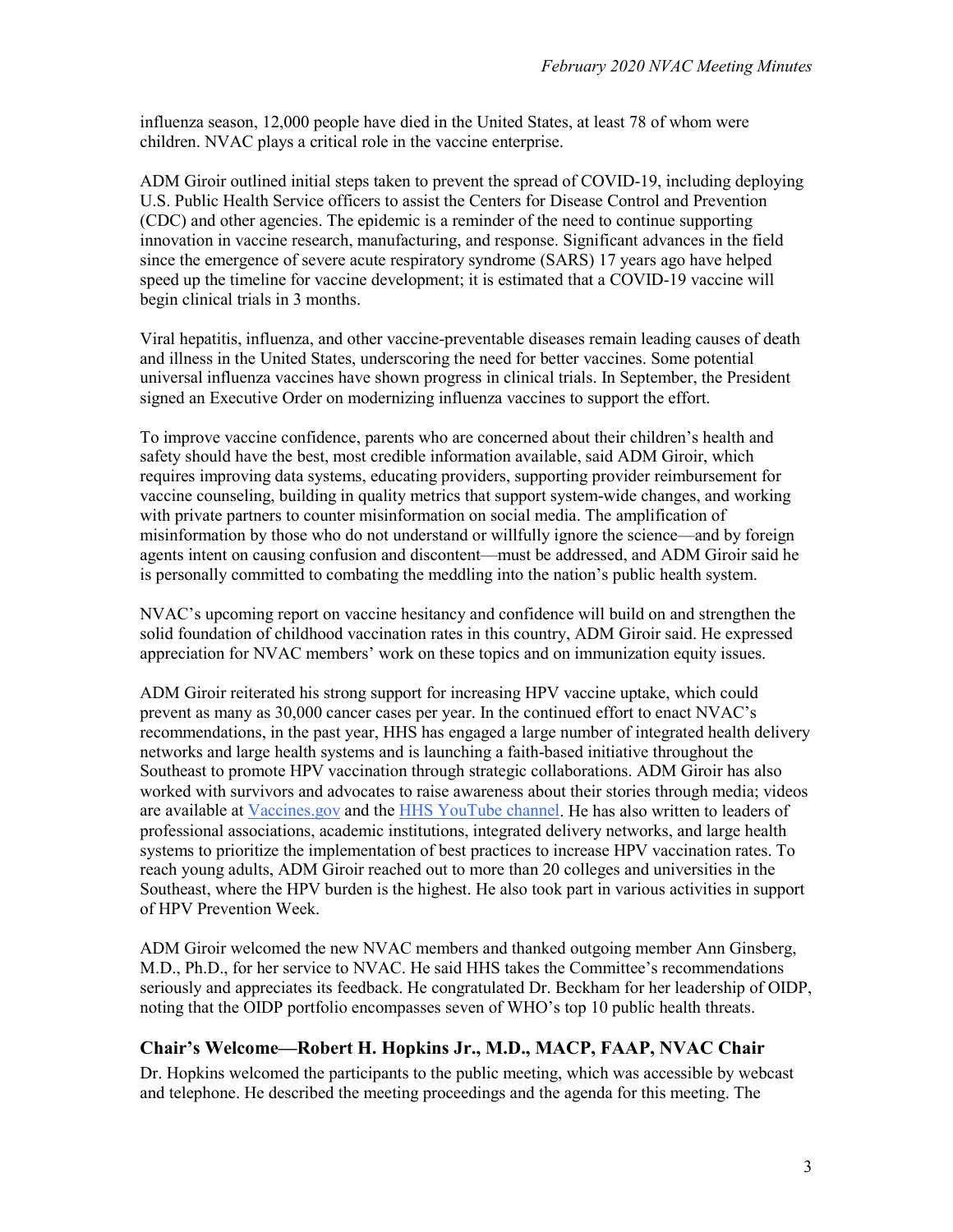influenza season, 12,000 people have died in the United States, at least 78 of whom were children. NVAC plays a critical role in the vaccine enterprise.

ADM Giroir outlined initial steps taken to prevent the spread of COVID-19, including deploying U.S. Public Health Service officers to assist the Centers for Disease Control and Prevention (CDC) and other agencies. The epidemic is a reminder of the need to continue supporting innovation in vaccine research, manufacturing, and response. Significant advances in the field since the emergence of severe acute respiratory syndrome (SARS) 17 years ago have helped speed up the timeline for vaccine development; it is estimated that a COVID-19 vaccine will begin clinical trials in 3 months.

Viral hepatitis, influenza, and other vaccine-preventable diseases remain leading causes of death and illness in the United States, underscoring the need for better vaccines. Some potential universal influenza vaccines have shown progress in clinical trials. In September, the President signed an Executive Order on modernizing influenza vaccines to support the effort.

To improve vaccine confidence, parents who are concerned about their children's health and safety should have the best, most credible information available, said ADM Giroir, which requires improving data systems, educating providers, supporting provider reimbursement for vaccine counseling, building in quality metrics that support system-wide changes, and working with private partners to counter misinformation on social media. The amplification of misinformation by those who do not understand or willfully ignore the science—and by foreign agents intent on causing confusion and discontent—must be addressed, and ADM Giroir said he is personally committed to combating the meddling into the nation's public health system.

NVAC's upcoming report on vaccine hesitancy and confidence will build on and strengthen the solid foundation of childhood vaccination rates in this country, ADM Giroir said. He expressed appreciation for NVAC members' work on these topics and on immunization equity issues.

ADM Giroir reiterated his strong support for increasing HPV vaccine uptake, which could prevent as many as 30,000 cancer cases per year. In the continued effort to enact NVAC's recommendations, in the past year, HHS has engaged a large number of integrated health delivery networks and large health systems and is launching a faith-based initiative throughout the Southeast to promote HPV vaccination through strategic collaborations. ADM Giroir has also worked with survivors and advocates to raise awareness about their stories through media; videos are available at [Vaccines.gov](https://www.vaccines.gov/) and the [HHS YouTube channel.](https://www.youtube.com/user/USGOVHHS) He has also written to leaders of professional associations, academic institutions, integrated delivery networks, and large health systems to prioritize the implementation of best practices to increase HPV vaccination rates. To reach young adults, ADM Giroir reached out to more than 20 colleges and universities in the Southeast, where the HPV burden is the highest. He also took part in various activities in support of HPV Prevention Week.

ADM Giroir welcomed the new NVAC members and thanked outgoing member Ann Ginsberg, M.D., Ph.D., for her service to NVAC. He said HHS takes the Committee's recommendations seriously and appreciates its feedback. He congratulated Dr. Beckham for her leadership of OIDP, noting that the OIDP portfolio encompasses seven of WHO's top 10 public health threats.

#### **Chair's Welcome—Robert H. Hopkins Jr., M.D., MACP, FAAP, NVAC Chair**

Dr. Hopkins welcomed the participants to the public meeting, which was accessible by webcast and telephone. He described the meeting proceedings and the agenda for this meeting. The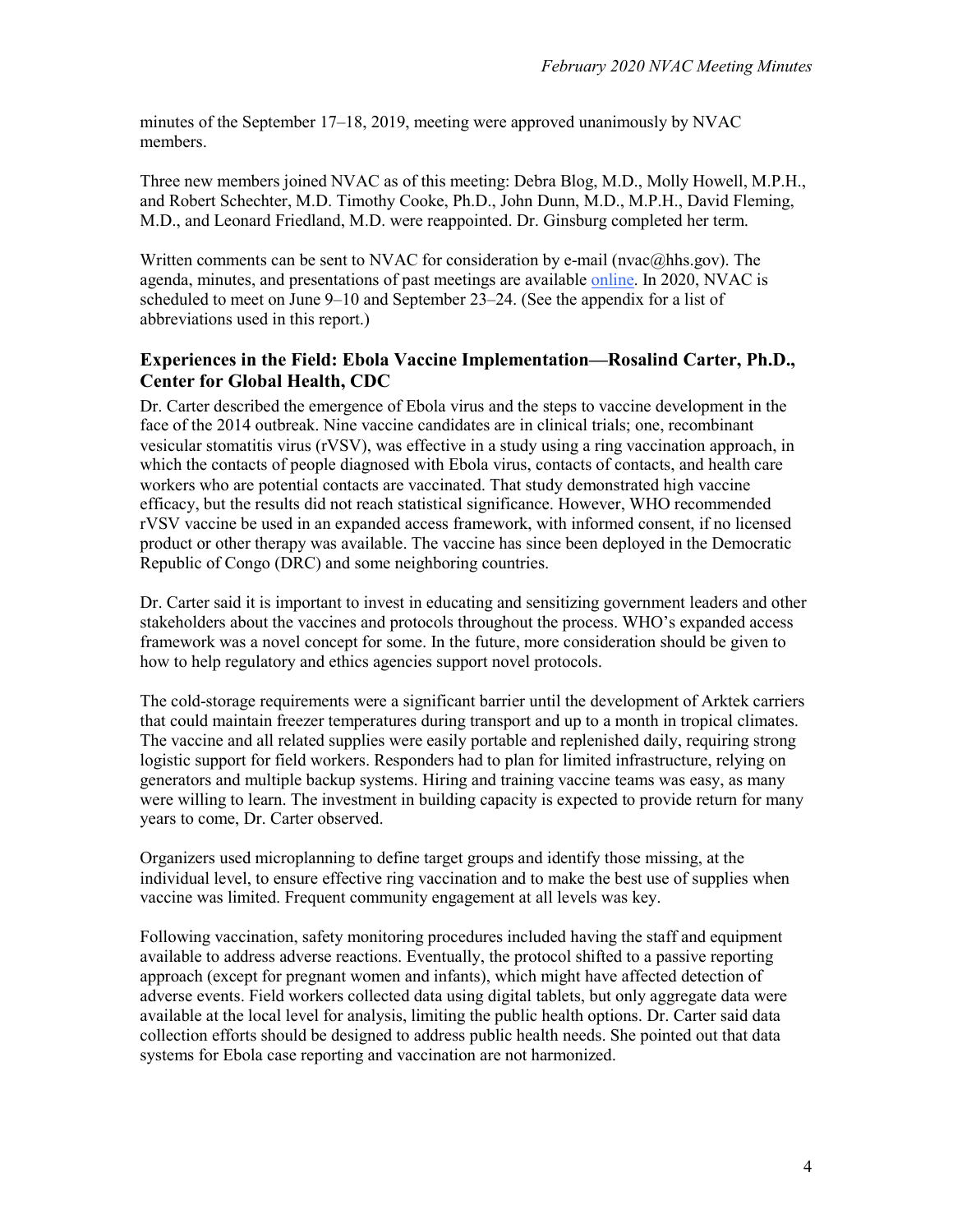minutes of the September 17–18, 2019, meeting were approved unanimously by NVAC members.

Three new members joined NVAC as of this meeting: Debra Blog, M.D., Molly Howell, M.P.H., and Robert Schechter, M.D. Timothy Cooke, Ph.D., John Dunn, M.D., M.P.H., David Fleming, M.D., and Leonard Friedland, M.D. were reappointed. Dr. Ginsburg completed her term.

Written comments can be sent to NVAC for consideration by e-mail ( $n\alpha(a)$ hhs.gov). The agenda, minutes, and presentations of past meetings are available [online.](https://www.hhs.gov/vaccines/nvac/meetings/index.html) In 2020, NVAC is scheduled to meet on June 9–10 and September 23–24. (See the appendix for a list of abbreviations used in this report.)

#### **Experiences in the Field: Ebola Vaccine Implementation—Rosalind Carter, Ph.D., Center for Global Health, CDC**

Dr. Carter described the emergence of Ebola virus and the steps to vaccine development in the face of the 2014 outbreak. Nine vaccine candidates are in clinical trials; one, recombinant vesicular stomatitis virus (rVSV), was effective in a study using a ring vaccination approach, in which the contacts of people diagnosed with Ebola virus, contacts of contacts, and health care workers who are potential contacts are vaccinated. That study demonstrated high vaccine efficacy, but the results did not reach statistical significance. However, WHO recommended rVSV vaccine be used in an expanded access framework, with informed consent, if no licensed product or other therapy was available. The vaccine has since been deployed in the Democratic Republic of Congo (DRC) and some neighboring countries.

Dr. Carter said it is important to invest in educating and sensitizing government leaders and other stakeholders about the vaccines and protocols throughout the process. WHO's expanded access framework was a novel concept for some. In the future, more consideration should be given to how to help regulatory and ethics agencies support novel protocols.

The cold-storage requirements were a significant barrier until the development of Arktek carriers that could maintain freezer temperatures during transport and up to a month in tropical climates. The vaccine and all related supplies were easily portable and replenished daily, requiring strong logistic support for field workers. Responders had to plan for limited infrastructure, relying on generators and multiple backup systems. Hiring and training vaccine teams was easy, as many were willing to learn. The investment in building capacity is expected to provide return for many years to come, Dr. Carter observed.

Organizers used microplanning to define target groups and identify those missing, at the individual level, to ensure effective ring vaccination and to make the best use of supplies when vaccine was limited. Frequent community engagement at all levels was key.

Following vaccination, safety monitoring procedures included having the staff and equipment available to address adverse reactions. Eventually, the protocol shifted to a passive reporting approach (except for pregnant women and infants), which might have affected detection of adverse events. Field workers collected data using digital tablets, but only aggregate data were available at the local level for analysis, limiting the public health options. Dr. Carter said data collection efforts should be designed to address public health needs. She pointed out that data systems for Ebola case reporting and vaccination are not harmonized.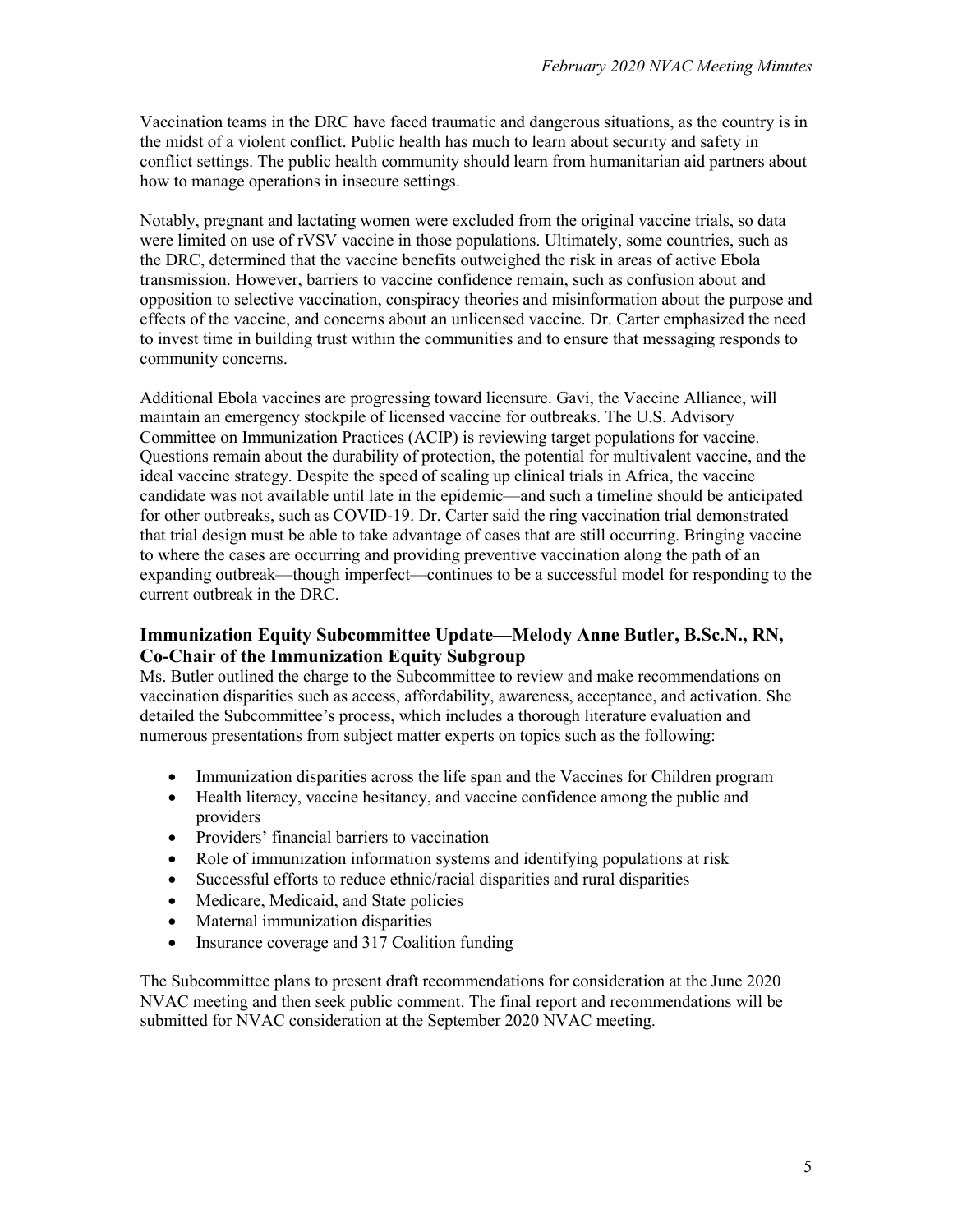Vaccination teams in the DRC have faced traumatic and dangerous situations, as the country is in the midst of a violent conflict. Public health has much to learn about security and safety in conflict settings. The public health community should learn from humanitarian aid partners about how to manage operations in insecure settings.

Notably, pregnant and lactating women were excluded from the original vaccine trials, so data were limited on use of rVSV vaccine in those populations. Ultimately, some countries, such as the DRC, determined that the vaccine benefits outweighed the risk in areas of active Ebola transmission. However, barriers to vaccine confidence remain, such as confusion about and opposition to selective vaccination, conspiracy theories and misinformation about the purpose and effects of the vaccine, and concerns about an unlicensed vaccine. Dr. Carter emphasized the need to invest time in building trust within the communities and to ensure that messaging responds to community concerns.

Additional Ebola vaccines are progressing toward licensure. Gavi, the Vaccine Alliance, will maintain an emergency stockpile of licensed vaccine for outbreaks. The U.S. Advisory Committee on Immunization Practices (ACIP) is reviewing target populations for vaccine. Questions remain about the durability of protection, the potential for multivalent vaccine, and the ideal vaccine strategy. Despite the speed of scaling up clinical trials in Africa, the vaccine candidate was not available until late in the epidemic—and such a timeline should be anticipated for other outbreaks, such as COVID-19. Dr. Carter said the ring vaccination trial demonstrated that trial design must be able to take advantage of cases that are still occurring. Bringing vaccine to where the cases are occurring and providing preventive vaccination along the path of an expanding outbreak—though imperfect—continues to be a successful model for responding to the current outbreak in the DRC.

### **Immunization Equity Subcommittee Update—Melody Anne Butler, B.Sc.N., RN, Co-Chair of the Immunization Equity Subgroup**

Ms. Butler outlined the charge to the Subcommittee to review and make recommendations on vaccination disparities such as access, affordability, awareness, acceptance, and activation. She detailed the Subcommittee's process, which includes a thorough literature evaluation and numerous presentations from subject matter experts on topics such as the following:

- Immunization disparities across the life span and the Vaccines for Children program
- Health literacy, vaccine hesitancy, and vaccine confidence among the public and providers
- Providers' financial barriers to vaccination
- Role of immunization information systems and identifying populations at risk
- Successful efforts to reduce ethnic/racial disparities and rural disparities
- Medicare, Medicaid, and State policies
- Maternal immunization disparities
- Insurance coverage and 317 Coalition funding

The Subcommittee plans to present draft recommendations for consideration at the June 2020 NVAC meeting and then seek public comment. The final report and recommendations will be submitted for NVAC consideration at the September 2020 NVAC meeting.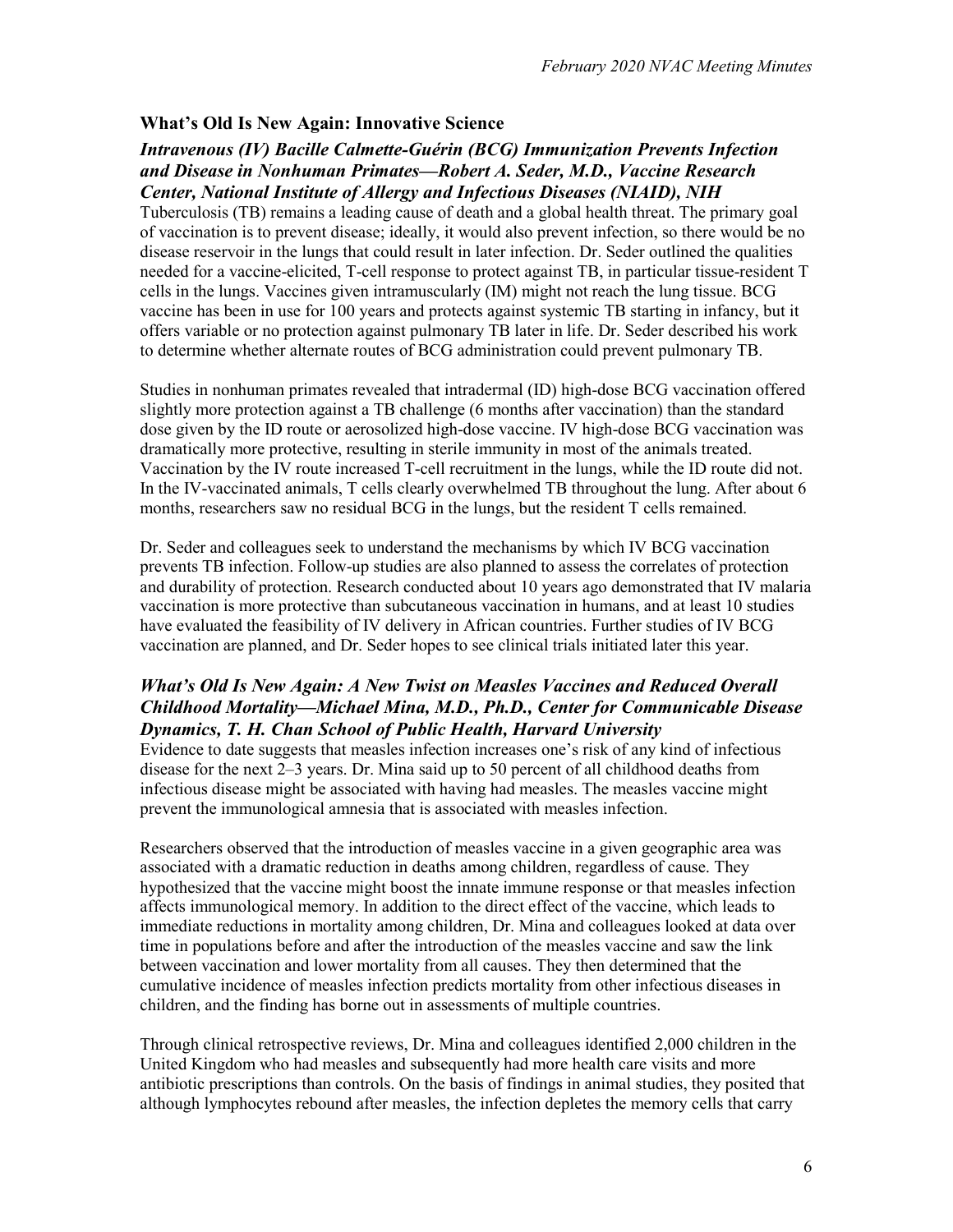#### **What's Old Is New Again: Innovative Science**

#### *Intravenous (IV) Bacille Calmette-Guérin (BCG) Immunization Prevents Infection and Disease in Nonhuman Primates—Robert A. Seder, M.D., Vaccine Research Center, National Institute of Allergy and Infectious Diseases (NIAID), NIH*

Tuberculosis (TB) remains a leading cause of death and a global health threat. The primary goal of vaccination is to prevent disease; ideally, it would also prevent infection, so there would be no disease reservoir in the lungs that could result in later infection. Dr. Seder outlined the qualities needed for a vaccine-elicited, T-cell response to protect against TB, in particular tissue-resident T cells in the lungs. Vaccines given intramuscularly (IM) might not reach the lung tissue. BCG vaccine has been in use for 100 years and protects against systemic TB starting in infancy, but it offers variable or no protection against pulmonary TB later in life. Dr. Seder described his work to determine whether alternate routes of BCG administration could prevent pulmonary TB.

Studies in nonhuman primates revealed that intradermal (ID) high-dose BCG vaccination offered slightly more protection against a TB challenge (6 months after vaccination) than the standard dose given by the ID route or aerosolized high-dose vaccine. IV high-dose BCG vaccination was dramatically more protective, resulting in sterile immunity in most of the animals treated. Vaccination by the IV route increased T-cell recruitment in the lungs, while the ID route did not. In the IV-vaccinated animals, T cells clearly overwhelmed TB throughout the lung. After about 6 months, researchers saw no residual BCG in the lungs, but the resident T cells remained.

Dr. Seder and colleagues seek to understand the mechanisms by which IV BCG vaccination prevents TB infection. Follow-up studies are also planned to assess the correlates of protection and durability of protection. Research conducted about 10 years ago demonstrated that IV malaria vaccination is more protective than subcutaneous vaccination in humans, and at least 10 studies have evaluated the feasibility of IV delivery in African countries. Further studies of IV BCG vaccination are planned, and Dr. Seder hopes to see clinical trials initiated later this year.

### *What's Old Is New Again: A New Twist on Measles Vaccines and Reduced Overall Childhood Mortality—Michael Mina, M.D., Ph.D., Center for Communicable Disease Dynamics, T. H. Chan School of Public Health, Harvard University*

Evidence to date suggests that measles infection increases one's risk of any kind of infectious disease for the next 2–3 years. Dr. Mina said up to 50 percent of all childhood deaths from infectious disease might be associated with having had measles. The measles vaccine might prevent the immunological amnesia that is associated with measles infection.

Researchers observed that the introduction of measles vaccine in a given geographic area was associated with a dramatic reduction in deaths among children, regardless of cause. They hypothesized that the vaccine might boost the innate immune response or that measles infection affects immunological memory. In addition to the direct effect of the vaccine, which leads to immediate reductions in mortality among children, Dr. Mina and colleagues looked at data over time in populations before and after the introduction of the measles vaccine and saw the link between vaccination and lower mortality from all causes. They then determined that the cumulative incidence of measles infection predicts mortality from other infectious diseases in children, and the finding has borne out in assessments of multiple countries.

Through clinical retrospective reviews, Dr. Mina and colleagues identified 2,000 children in the United Kingdom who had measles and subsequently had more health care visits and more antibiotic prescriptions than controls. On the basis of findings in animal studies, they posited that although lymphocytes rebound after measles, the infection depletes the memory cells that carry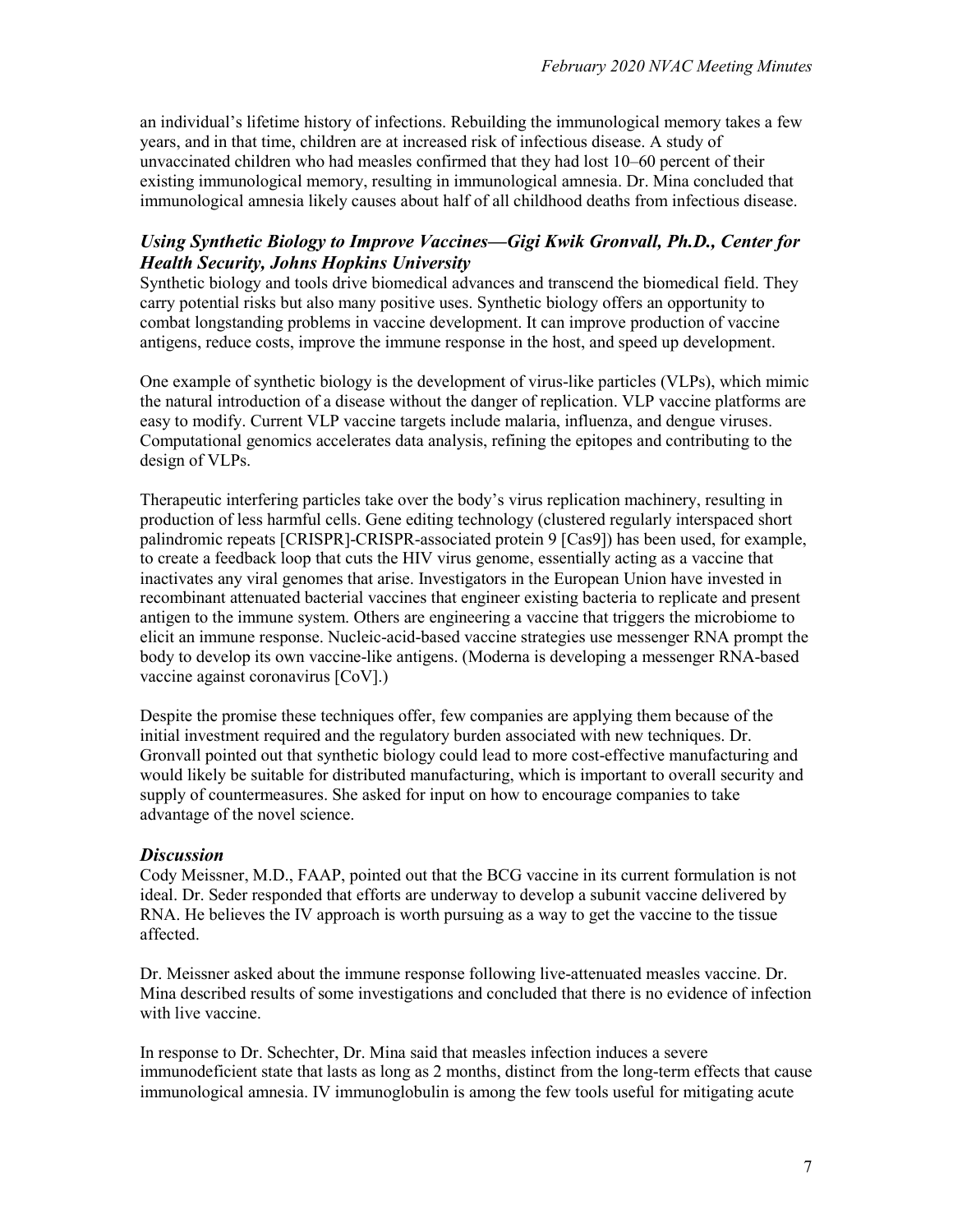an individual's lifetime history of infections. Rebuilding the immunological memory takes a few years, and in that time, children are at increased risk of infectious disease. A study of unvaccinated children who had measles confirmed that they had lost 10–60 percent of their existing immunological memory, resulting in immunological amnesia. Dr. Mina concluded that immunological amnesia likely causes about half of all childhood deaths from infectious disease.

### *Using Synthetic Biology to Improve Vaccines—Gigi Kwik Gronvall, Ph.D., Center for Health Security, Johns Hopkins University*

Synthetic biology and tools drive biomedical advances and transcend the biomedical field. They carry potential risks but also many positive uses. Synthetic biology offers an opportunity to combat longstanding problems in vaccine development. It can improve production of vaccine antigens, reduce costs, improve the immune response in the host, and speed up development.

One example of synthetic biology is the development of virus-like particles (VLPs), which mimic the natural introduction of a disease without the danger of replication. VLP vaccine platforms are easy to modify. Current VLP vaccine targets include malaria, influenza, and dengue viruses. Computational genomics accelerates data analysis, refining the epitopes and contributing to the design of VLPs.

Therapeutic interfering particles take over the body's virus replication machinery, resulting in production of less harmful cells. Gene editing technology (clustered regularly interspaced short palindromic repeats [CRISPR]-CRISPR-associated protein 9 [Cas9]) has been used, for example, to create a feedback loop that cuts the HIV virus genome, essentially acting as a vaccine that inactivates any viral genomes that arise. Investigators in the European Union have invested in recombinant attenuated bacterial vaccines that engineer existing bacteria to replicate and present antigen to the immune system. Others are engineering a vaccine that triggers the microbiome to elicit an immune response. Nucleic-acid-based vaccine strategies use messenger RNA prompt the body to develop its own vaccine-like antigens. (Moderna is developing a messenger RNA-based vaccine against coronavirus [CoV].)

Despite the promise these techniques offer, few companies are applying them because of the initial investment required and the regulatory burden associated with new techniques. Dr. Gronvall pointed out that synthetic biology could lead to more cost-effective manufacturing and would likely be suitable for distributed manufacturing, which is important to overall security and supply of countermeasures. She asked for input on how to encourage companies to take advantage of the novel science.

#### *Discussion*

Cody Meissner, M.D., FAAP, pointed out that the BCG vaccine in its current formulation is not ideal. Dr. Seder responded that efforts are underway to develop a subunit vaccine delivered by RNA. He believes the IV approach is worth pursuing as a way to get the vaccine to the tissue affected.

Dr. Meissner asked about the immune response following live-attenuated measles vaccine. Dr. Mina described results of some investigations and concluded that there is no evidence of infection with live vaccine.

In response to Dr. Schechter, Dr. Mina said that measles infection induces a severe immunodeficient state that lasts as long as 2 months, distinct from the long-term effects that cause immunological amnesia. IV immunoglobulin is among the few tools useful for mitigating acute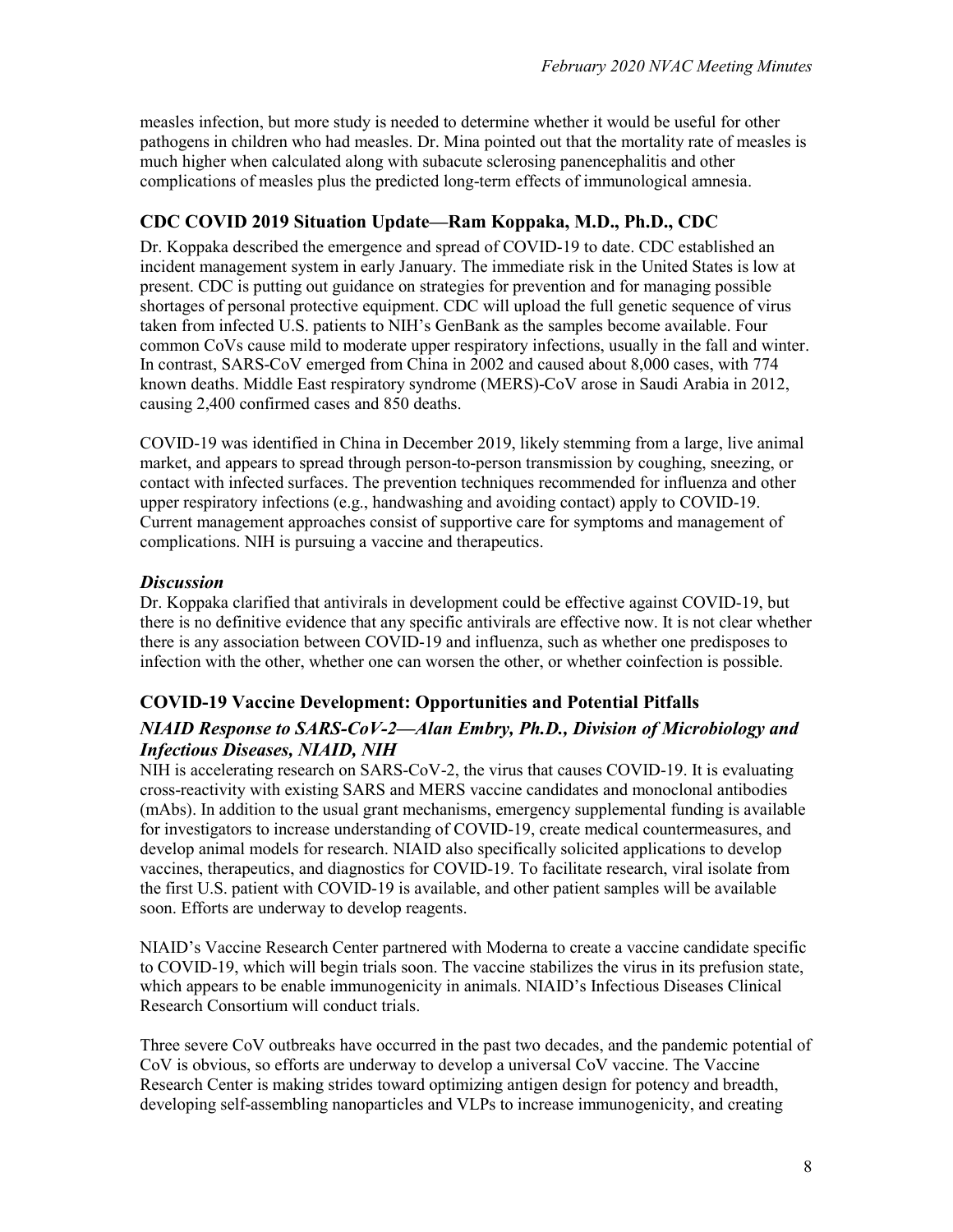measles infection, but more study is needed to determine whether it would be useful for other pathogens in children who had measles. Dr. Mina pointed out that the mortality rate of measles is much higher when calculated along with subacute sclerosing panencephalitis and other complications of measles plus the predicted long-term effects of immunological amnesia.

### **CDC COVID 2019 Situation Update—Ram Koppaka, M.D., Ph.D., CDC**

Dr. Koppaka described the emergence and spread of COVID-19 to date. CDC established an incident management system in early January. The immediate risk in the United States is low at present. CDC is putting out guidance on strategies for prevention and for managing possible shortages of personal protective equipment. CDC will upload the full genetic sequence of virus taken from infected U.S. patients to NIH's GenBank as the samples become available. Four common CoVs cause mild to moderate upper respiratory infections, usually in the fall and winter. In contrast, SARS-CoV emerged from China in 2002 and caused about 8,000 cases, with 774 known deaths. Middle East respiratory syndrome (MERS)-CoV arose in Saudi Arabia in 2012, causing 2,400 confirmed cases and 850 deaths.

COVID-19 was identified in China in December 2019, likely stemming from a large, live animal market, and appears to spread through person-to-person transmission by coughing, sneezing, or contact with infected surfaces. The prevention techniques recommended for influenza and other upper respiratory infections (e.g., handwashing and avoiding contact) apply to COVID-19. Current management approaches consist of supportive care for symptoms and management of complications. NIH is pursuing a vaccine and therapeutics.

#### *Discussion*

Dr. Koppaka clarified that antivirals in development could be effective against COVID-19, but there is no definitive evidence that any specific antivirals are effective now. It is not clear whether there is any association between COVID-19 and influenza, such as whether one predisposes to infection with the other, whether one can worsen the other, or whether coinfection is possible.

# **COVID-19 Vaccine Development: Opportunities and Potential Pitfalls**

### *NIAID Response to SARS-CoV-2—Alan Embry, Ph.D., Division of Microbiology and Infectious Diseases, NIAID, NIH*

NIH is accelerating research on SARS-CoV-2, the virus that causes COVID-19. It is evaluating cross-reactivity with existing SARS and MERS vaccine candidates and monoclonal antibodies (mAbs). In addition to the usual grant mechanisms, emergency supplemental funding is available for investigators to increase understanding of COVID-19, create medical countermeasures, and develop animal models for research. NIAID also specifically solicited applications to develop vaccines, therapeutics, and diagnostics for COVID-19. To facilitate research, viral isolate from the first U.S. patient with COVID-19 is available, and other patient samples will be available soon. Efforts are underway to develop reagents.

NIAID's Vaccine Research Center partnered with Moderna to create a vaccine candidate specific to COVID-19, which will begin trials soon. The vaccine stabilizes the virus in its prefusion state, which appears to be enable immunogenicity in animals. NIAID's Infectious Diseases Clinical Research Consortium will conduct trials.

Three severe CoV outbreaks have occurred in the past two decades, and the pandemic potential of CoV is obvious, so efforts are underway to develop a universal CoV vaccine. The Vaccine Research Center is making strides toward optimizing antigen design for potency and breadth, developing self-assembling nanoparticles and VLPs to increase immunogenicity, and creating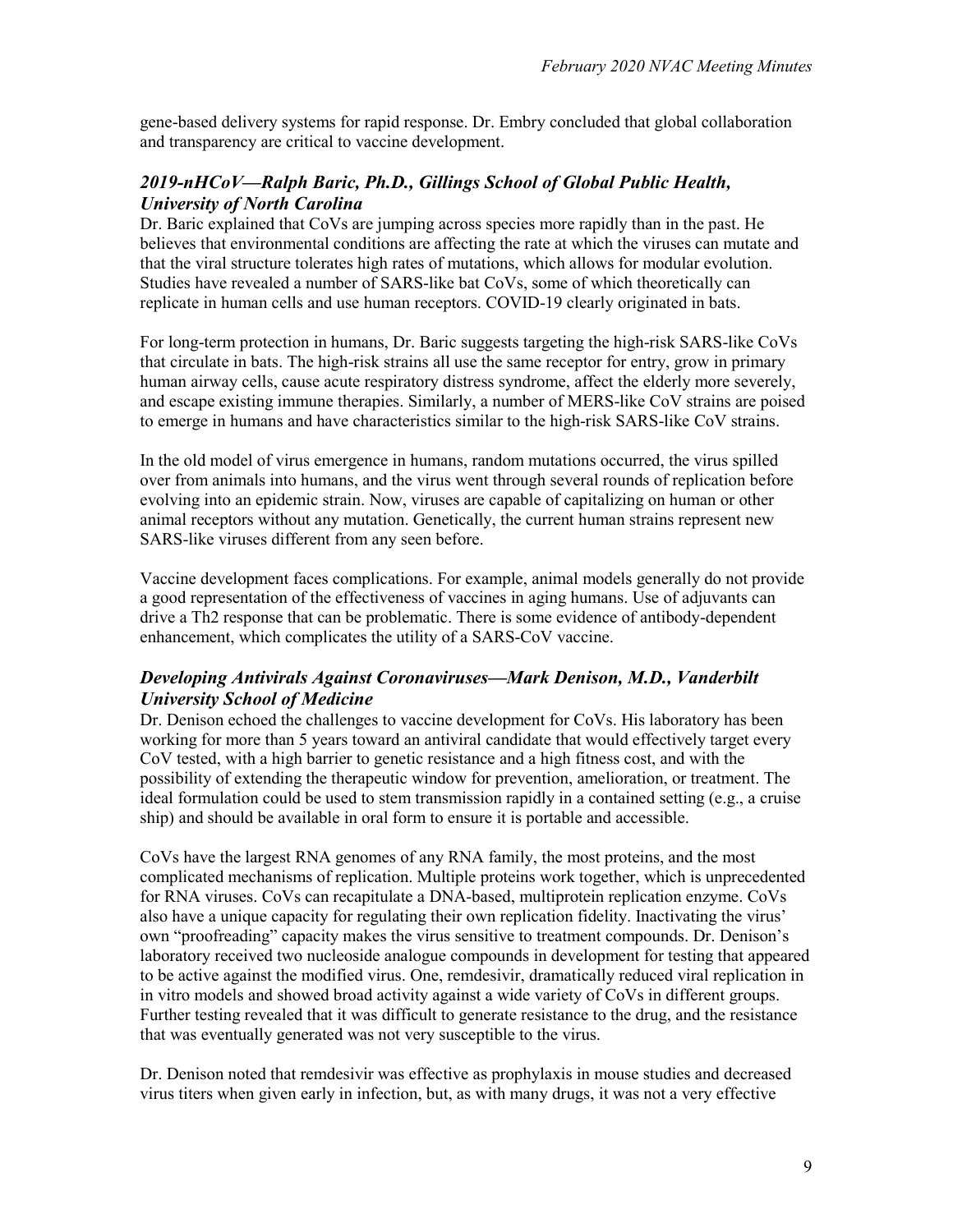gene-based delivery systems for rapid response. Dr. Embry concluded that global collaboration and transparency are critical to vaccine development.

### *2019-nHCoV—Ralph Baric, Ph.D., Gillings School of Global Public Health, University of North Carolina*

Dr. Baric explained that CoVs are jumping across species more rapidly than in the past. He believes that environmental conditions are affecting the rate at which the viruses can mutate and that the viral structure tolerates high rates of mutations, which allows for modular evolution. Studies have revealed a number of SARS-like bat CoVs, some of which theoretically can replicate in human cells and use human receptors. COVID-19 clearly originated in bats.

For long-term protection in humans, Dr. Baric suggests targeting the high-risk SARS-like CoVs that circulate in bats. The high-risk strains all use the same receptor for entry, grow in primary human airway cells, cause acute respiratory distress syndrome, affect the elderly more severely, and escape existing immune therapies. Similarly, a number of MERS-like CoV strains are poised to emerge in humans and have characteristics similar to the high-risk SARS-like CoV strains.

In the old model of virus emergence in humans, random mutations occurred, the virus spilled over from animals into humans, and the virus went through several rounds of replication before evolving into an epidemic strain. Now, viruses are capable of capitalizing on human or other animal receptors without any mutation. Genetically, the current human strains represent new SARS-like viruses different from any seen before.

Vaccine development faces complications. For example, animal models generally do not provide a good representation of the effectiveness of vaccines in aging humans. Use of adjuvants can drive a Th2 response that can be problematic. There is some evidence of antibody-dependent enhancement, which complicates the utility of a SARS-CoV vaccine.

#### *Developing Antivirals Against Coronaviruses—Mark Denison, M.D., Vanderbilt University School of Medicine*

Dr. Denison echoed the challenges to vaccine development for CoVs. His laboratory has been working for more than 5 years toward an antiviral candidate that would effectively target every CoV tested, with a high barrier to genetic resistance and a high fitness cost, and with the possibility of extending the therapeutic window for prevention, amelioration, or treatment. The ideal formulation could be used to stem transmission rapidly in a contained setting (e.g., a cruise ship) and should be available in oral form to ensure it is portable and accessible.

CoVs have the largest RNA genomes of any RNA family, the most proteins, and the most complicated mechanisms of replication. Multiple proteins work together, which is unprecedented for RNA viruses. CoVs can recapitulate a DNA-based, multiprotein replication enzyme. CoVs also have a unique capacity for regulating their own replication fidelity. Inactivating the virus' own "proofreading" capacity makes the virus sensitive to treatment compounds. Dr. Denison's laboratory received two nucleoside analogue compounds in development for testing that appeared to be active against the modified virus. One, remdesivir, dramatically reduced viral replication in in vitro models and showed broad activity against a wide variety of CoVs in different groups. Further testing revealed that it was difficult to generate resistance to the drug, and the resistance that was eventually generated was not very susceptible to the virus.

Dr. Denison noted that remdesivir was effective as prophylaxis in mouse studies and decreased virus titers when given early in infection, but, as with many drugs, it was not a very effective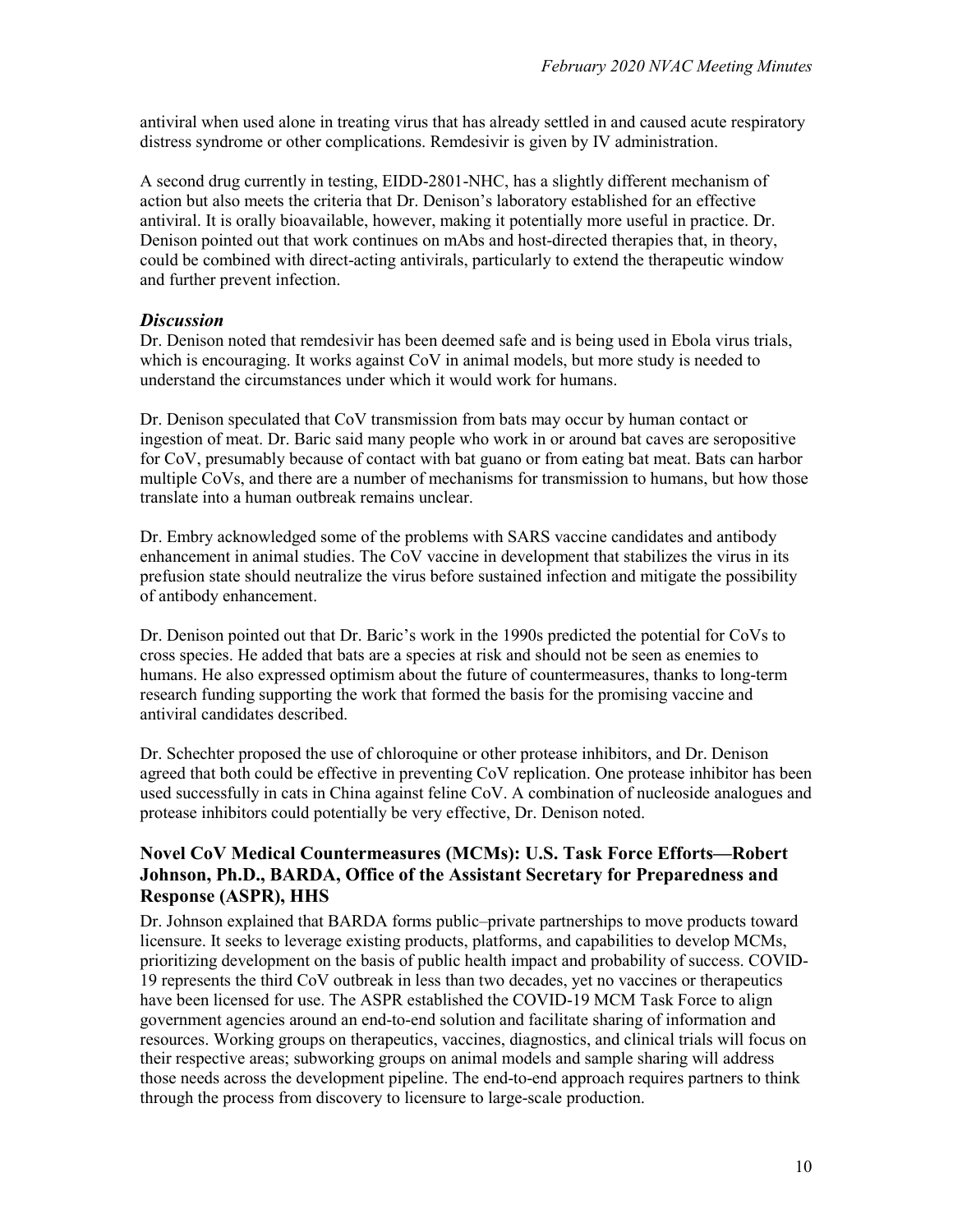antiviral when used alone in treating virus that has already settled in and caused acute respiratory distress syndrome or other complications. Remdesivir is given by IV administration.

A second drug currently in testing, EIDD-2801-NHC, has a slightly different mechanism of action but also meets the criteria that Dr. Denison's laboratory established for an effective antiviral. It is orally bioavailable, however, making it potentially more useful in practice. Dr. Denison pointed out that work continues on mAbs and host-directed therapies that, in theory, could be combined with direct-acting antivirals, particularly to extend the therapeutic window and further prevent infection.

#### *Discussion*

Dr. Denison noted that remdesivir has been deemed safe and is being used in Ebola virus trials, which is encouraging. It works against CoV in animal models, but more study is needed to understand the circumstances under which it would work for humans.

Dr. Denison speculated that CoV transmission from bats may occur by human contact or ingestion of meat. Dr. Baric said many people who work in or around bat caves are seropositive for CoV, presumably because of contact with bat guano or from eating bat meat. Bats can harbor multiple CoVs, and there are a number of mechanisms for transmission to humans, but how those translate into a human outbreak remains unclear.

Dr. Embry acknowledged some of the problems with SARS vaccine candidates and antibody enhancement in animal studies. The CoV vaccine in development that stabilizes the virus in its prefusion state should neutralize the virus before sustained infection and mitigate the possibility of antibody enhancement.

Dr. Denison pointed out that Dr. Baric's work in the 1990s predicted the potential for CoVs to cross species. He added that bats are a species at risk and should not be seen as enemies to humans. He also expressed optimism about the future of countermeasures, thanks to long-term research funding supporting the work that formed the basis for the promising vaccine and antiviral candidates described.

Dr. Schechter proposed the use of chloroquine or other protease inhibitors, and Dr. Denison agreed that both could be effective in preventing CoV replication. One protease inhibitor has been used successfully in cats in China against feline CoV. A combination of nucleoside analogues and protease inhibitors could potentially be very effective, Dr. Denison noted.

#### **Novel CoV Medical Countermeasures (MCMs): U.S. Task Force Efforts—Robert Johnson, Ph.D., BARDA, Office of the Assistant Secretary for Preparedness and Response (ASPR), HHS**

Dr. Johnson explained that BARDA forms public–private partnerships to move products toward licensure. It seeks to leverage existing products, platforms, and capabilities to develop MCMs, prioritizing development on the basis of public health impact and probability of success. COVID-19 represents the third CoV outbreak in less than two decades, yet no vaccines or therapeutics have been licensed for use. The ASPR established the COVID-19 MCM Task Force to align government agencies around an end-to-end solution and facilitate sharing of information and resources. Working groups on therapeutics, vaccines, diagnostics, and clinical trials will focus on their respective areas; subworking groups on animal models and sample sharing will address those needs across the development pipeline. The end-to-end approach requires partners to think through the process from discovery to licensure to large-scale production.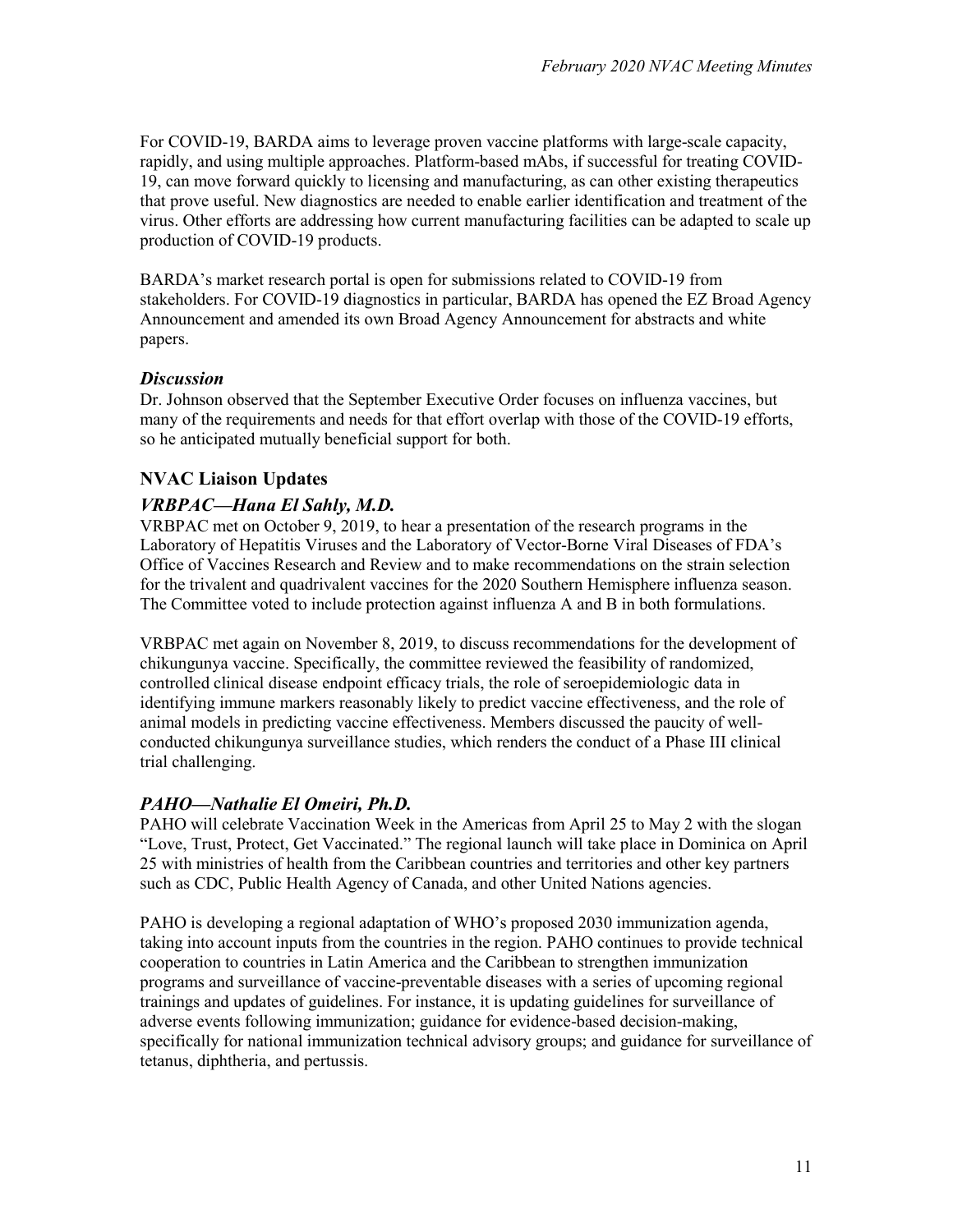For COVID-19, BARDA aims to leverage proven vaccine platforms with large-scale capacity, rapidly, and using multiple approaches. Platform-based mAbs, if successful for treating COVID-19, can move forward quickly to licensing and manufacturing, as can other existing therapeutics that prove useful. New diagnostics are needed to enable earlier identification and treatment of the virus. Other efforts are addressing how current manufacturing facilities can be adapted to scale up production of COVID-19 products.

BARDA's market research portal is open for submissions related to COVID-19 from stakeholders. For COVID-19 diagnostics in particular, BARDA has opened the EZ Broad Agency Announcement and amended its own Broad Agency Announcement for abstracts and white papers.

#### *Discussion*

Dr. Johnson observed that the September Executive Order focuses on influenza vaccines, but many of the requirements and needs for that effort overlap with those of the COVID-19 efforts, so he anticipated mutually beneficial support for both.

### **NVAC Liaison Updates**

### *VRBPAC—Hana El Sahly, M.D.*

VRBPAC met on October 9, 2019, to hear a presentation of the research programs in the Laboratory of Hepatitis Viruses and the Laboratory of Vector-Borne Viral Diseases of FDA's Office of Vaccines Research and Review and to make recommendations on the strain selection for the trivalent and quadrivalent vaccines for the 2020 Southern Hemisphere influenza season. The Committee voted to include protection against influenza A and B in both formulations.

VRBPAC met again on November 8, 2019, to discuss recommendations for the development of chikungunya vaccine. Specifically, the committee reviewed the feasibility of randomized, controlled clinical disease endpoint efficacy trials, the role of seroepidemiologic data in identifying immune markers reasonably likely to predict vaccine effectiveness, and the role of animal models in predicting vaccine effectiveness. Members discussed the paucity of wellconducted chikungunya surveillance studies, which renders the conduct of a Phase III clinical trial challenging.

#### *PAHO—Nathalie El Omeiri, Ph.D.*

PAHO will celebrate Vaccination Week in the Americas from April 25 to May 2 with the slogan "Love, Trust, Protect, Get Vaccinated." The regional launch will take place in Dominica on April 25 with ministries of health from the Caribbean countries and territories and other key partners such as CDC, Public Health Agency of Canada, and other United Nations agencies.

PAHO is developing a regional adaptation of WHO's proposed 2030 immunization agenda, taking into account inputs from the countries in the region. PAHO continues to provide technical cooperation to countries in Latin America and the Caribbean to strengthen immunization programs and surveillance of vaccine-preventable diseases with a series of upcoming regional trainings and updates of guidelines. For instance, it is updating guidelines for surveillance of adverse events following immunization; guidance for evidence-based decision-making, specifically for national immunization technical advisory groups; and guidance for surveillance of tetanus, diphtheria, and pertussis.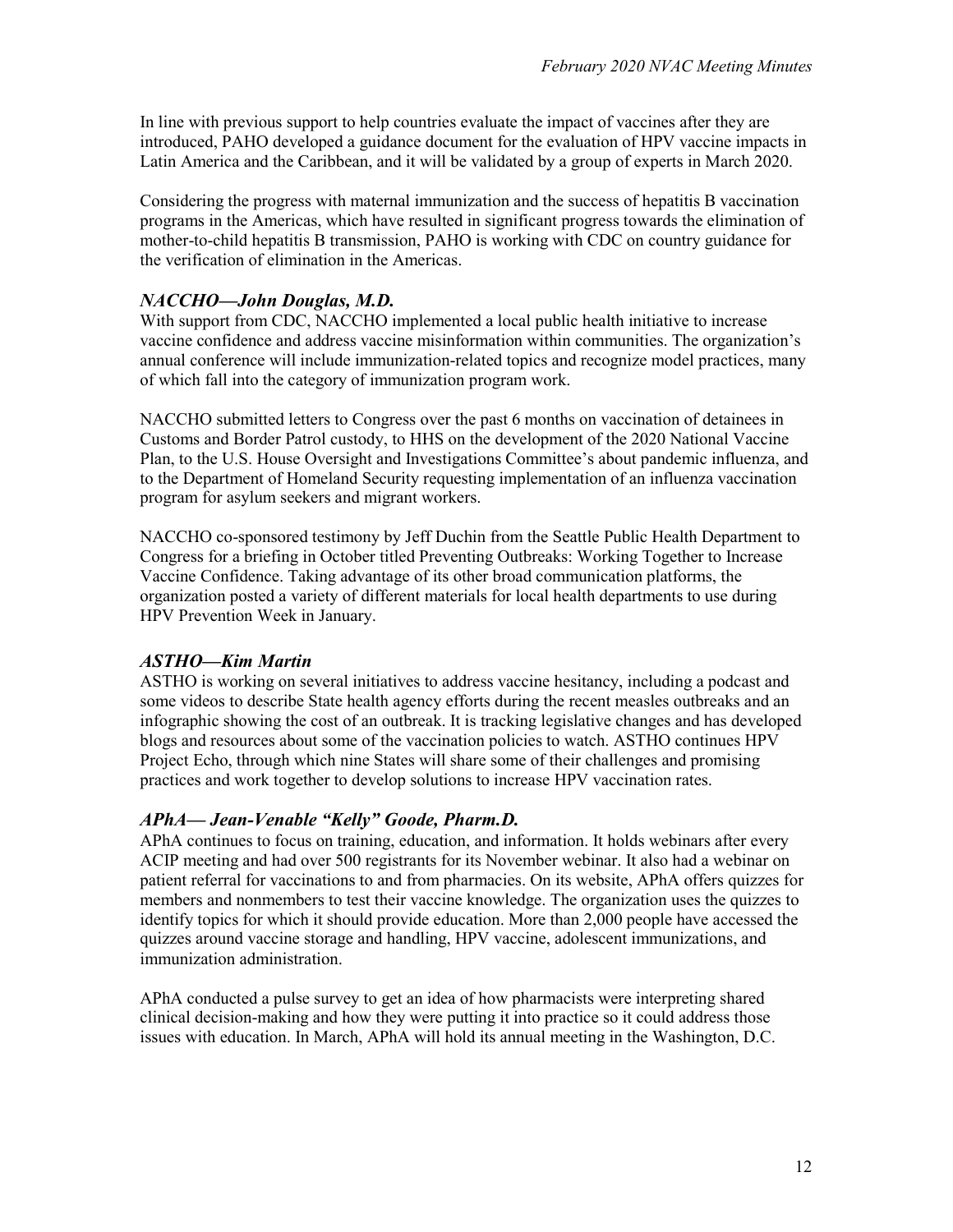In line with previous support to help countries evaluate the impact of vaccines after they are introduced, PAHO developed a guidance document for the evaluation of HPV vaccine impacts in Latin America and the Caribbean, and it will be validated by a group of experts in March 2020.

Considering the progress with maternal immunization and the success of hepatitis B vaccination programs in the Americas, which have resulted in significant progress towards the elimination of mother-to-child hepatitis B transmission, PAHO is working with CDC on country guidance for the verification of elimination in the Americas.

### *NACCHO—John Douglas, M.D.*

With support from CDC, NACCHO implemented a local public health initiative to increase vaccine confidence and address vaccine misinformation within communities. The organization's annual conference will include immunization-related topics and recognize model practices, many of which fall into the category of immunization program work.

NACCHO submitted letters to Congress over the past 6 months on vaccination of detainees in Customs and Border Patrol custody, to HHS on the development of the 2020 National Vaccine Plan, to the U.S. House Oversight and Investigations Committee's about pandemic influenza, and to the Department of Homeland Security requesting implementation of an influenza vaccination program for asylum seekers and migrant workers.

NACCHO co-sponsored testimony by Jeff Duchin from the Seattle Public Health Department to Congress for a briefing in October titled Preventing Outbreaks: Working Together to Increase Vaccine Confidence. Taking advantage of its other broad communication platforms, the organization posted a variety of different materials for local health departments to use during HPV Prevention Week in January.

### *ASTHO—Kim Martin*

ASTHO is working on several initiatives to address vaccine hesitancy, including a podcast and some videos to describe State health agency efforts during the recent measles outbreaks and an infographic showing the cost of an outbreak. It is tracking legislative changes and has developed blogs and resources about some of the vaccination policies to watch. ASTHO continues HPV Project Echo, through which nine States will share some of their challenges and promising practices and work together to develop solutions to increase HPV vaccination rates.

#### *APhA— Jean-Venable "Kelly" Goode, Pharm.D.*

APhA continues to focus on training, education, and information. It holds webinars after every ACIP meeting and had over 500 registrants for its November webinar. It also had a webinar on patient referral for vaccinations to and from pharmacies. On its website, APhA offers quizzes for members and nonmembers to test their vaccine knowledge. The organization uses the quizzes to identify topics for which it should provide education. More than 2,000 people have accessed the quizzes around vaccine storage and handling, HPV vaccine, adolescent immunizations, and immunization administration.

APhA conducted a pulse survey to get an idea of how pharmacists were interpreting shared clinical decision-making and how they were putting it into practice so it could address those issues with education. In March, APhA will hold its annual meeting in the Washington, D.C.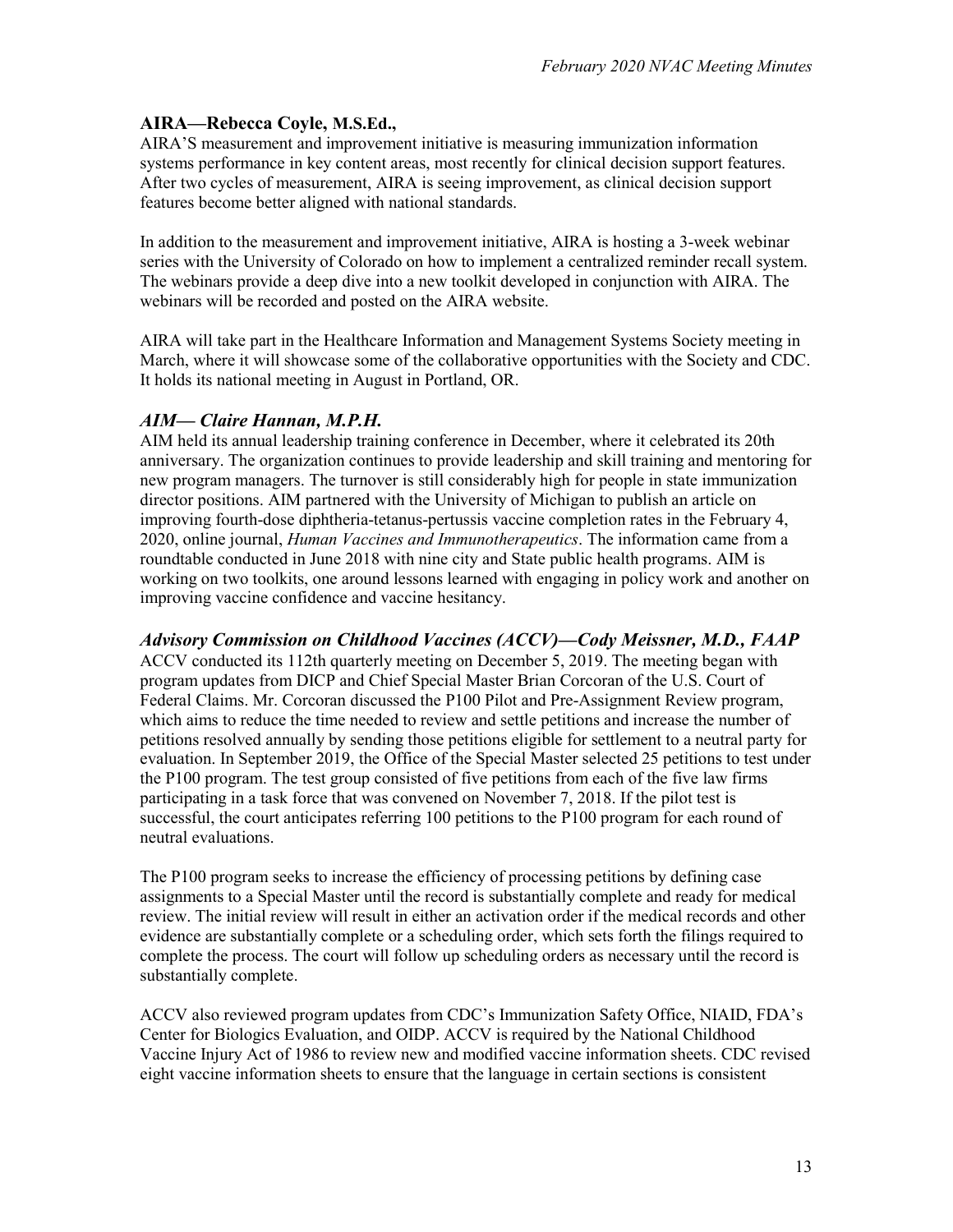### **AIRA—Rebecca Coyle, M.S.Ed.,**

AIRA'S measurement and improvement initiative is measuring immunization information systems performance in key content areas, most recently for clinical decision support features. After two cycles of measurement, AIRA is seeing improvement, as clinical decision support features become better aligned with national standards.

In addition to the measurement and improvement initiative, AIRA is hosting a 3-week webinar series with the University of Colorado on how to implement a centralized reminder recall system. The webinars provide a deep dive into a new toolkit developed in conjunction with AIRA. The webinars will be recorded and posted on the AIRA website.

AIRA will take part in the Healthcare Information and Management Systems Society meeting in March, where it will showcase some of the collaborative opportunities with the Society and CDC. It holds its national meeting in August in Portland, OR.

### *AIM— Claire Hannan, M.P.H.*

AIM held its annual leadership training conference in December, where it celebrated its 20th anniversary. The organization continues to provide leadership and skill training and mentoring for new program managers. The turnover is still considerably high for people in state immunization director positions. AIM partnered with the University of Michigan to publish an article on improving fourth-dose diphtheria-tetanus-pertussis vaccine completion rates in the February 4, 2020, online journal, *Human Vaccines and Immunotherapeutics*. The information came from a roundtable conducted in June 2018 with nine city and State public health programs. AIM is working on two toolkits, one around lessons learned with engaging in policy work and another on improving vaccine confidence and vaccine hesitancy.

*Advisory Commission on Childhood Vaccines (ACCV)—Cody Meissner, M.D., FAAP*  ACCV conducted its 112th quarterly meeting on December 5, 2019. The meeting began with program updates from DICP and Chief Special Master Brian Corcoran of the U.S. Court of Federal Claims. Mr. Corcoran discussed the P100 Pilot and Pre-Assignment Review program, which aims to reduce the time needed to review and settle petitions and increase the number of petitions resolved annually by sending those petitions eligible for settlement to a neutral party for evaluation. In September 2019, the Office of the Special Master selected 25 petitions to test under the P100 program. The test group consisted of five petitions from each of the five law firms participating in a task force that was convened on November 7, 2018. If the pilot test is successful, the court anticipates referring 100 petitions to the P100 program for each round of neutral evaluations.

The P100 program seeks to increase the efficiency of processing petitions by defining case assignments to a Special Master until the record is substantially complete and ready for medical review. The initial review will result in either an activation order if the medical records and other evidence are substantially complete or a scheduling order, which sets forth the filings required to complete the process. The court will follow up scheduling orders as necessary until the record is substantially complete.

ACCV also reviewed program updates from CDC's Immunization Safety Office, NIAID, FDA's Center for Biologics Evaluation, and OIDP. ACCV is required by the National Childhood Vaccine Injury Act of 1986 to review new and modified vaccine information sheets. CDC revised eight vaccine information sheets to ensure that the language in certain sections is consistent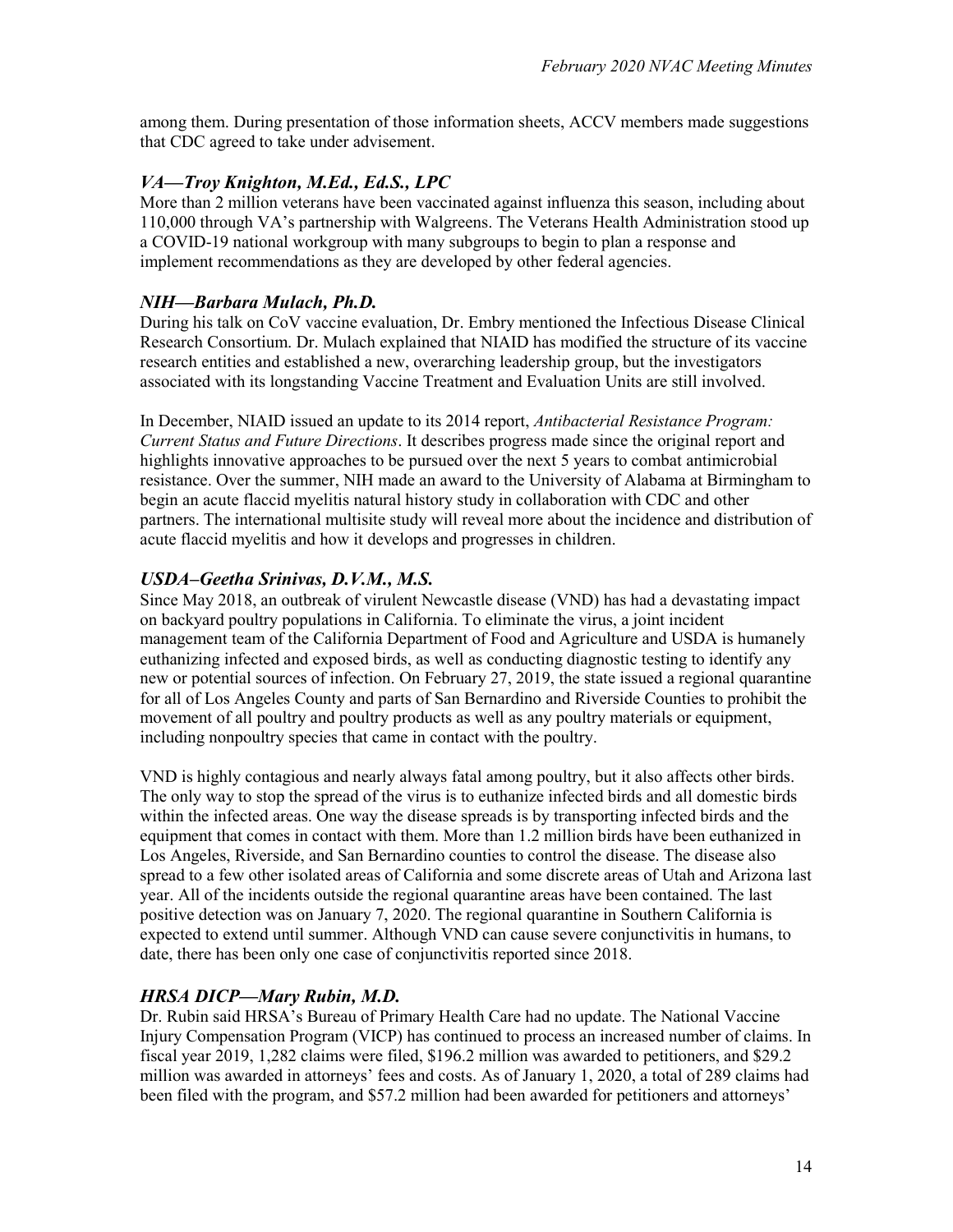among them. During presentation of those information sheets, ACCV members made suggestions that CDC agreed to take under advisement.

### *VA—Troy Knighton, M.Ed., Ed.S., LPC*

More than 2 million veterans have been vaccinated against influenza this season, including about 110,000 through VA's partnership with Walgreens. The Veterans Health Administration stood up a COVID-19 national workgroup with many subgroups to begin to plan a response and implement recommendations as they are developed by other federal agencies.

### *NIH—Barbara Mulach, Ph.D.*

During his talk on CoV vaccine evaluation, Dr. Embry mentioned the Infectious Disease Clinical Research Consortium. Dr. Mulach explained that NIAID has modified the structure of its vaccine research entities and established a new, overarching leadership group, but the investigators associated with its longstanding Vaccine Treatment and Evaluation Units are still involved.

In December, NIAID issued an update to its 2014 report, *Antibacterial Resistance Program: Current Status and Future Directions*. It describes progress made since the original report and highlights innovative approaches to be pursued over the next 5 years to combat antimicrobial resistance. Over the summer, NIH made an award to the University of Alabama at Birmingham to begin an acute flaccid myelitis natural history study in collaboration with CDC and other partners. The international multisite study will reveal more about the incidence and distribution of acute flaccid myelitis and how it develops and progresses in children.

### *USDA–Geetha Srinivas, D.V.M., M.S.*

Since May 2018, an outbreak of virulent Newcastle disease (VND) has had a devastating impact on backyard poultry populations in California. To eliminate the virus, a joint incident management team of the California Department of Food and Agriculture and USDA is humanely euthanizing infected and exposed birds, as well as conducting diagnostic testing to identify any new or potential sources of infection. On February 27, 2019, the state issued a regional quarantine for all of Los Angeles County and parts of San Bernardino and Riverside Counties to prohibit the movement of all poultry and poultry products as well as any poultry materials or equipment, including nonpoultry species that came in contact with the poultry.

VND is highly contagious and nearly always fatal among poultry, but it also affects other birds. The only way to stop the spread of the virus is to euthanize infected birds and all domestic birds within the infected areas. One way the disease spreads is by transporting infected birds and the equipment that comes in contact with them. More than 1.2 million birds have been euthanized in Los Angeles, Riverside, and San Bernardino counties to control the disease. The disease also spread to a few other isolated areas of California and some discrete areas of Utah and Arizona last year. All of the incidents outside the regional quarantine areas have been contained. The last positive detection was on January 7, 2020. The regional quarantine in Southern California is expected to extend until summer. Although VND can cause severe conjunctivitis in humans, to date, there has been only one case of conjunctivitis reported since 2018.

### *HRSA DICP—Mary Rubin, M.D.*

Dr. Rubin said HRSA's Bureau of Primary Health Care had no update. The National Vaccine Injury Compensation Program (VICP) has continued to process an increased number of claims. In fiscal year 2019, 1,282 claims were filed, \$196.2 million was awarded to petitioners, and \$29.2 million was awarded in attorneys' fees and costs. As of January 1, 2020, a total of 289 claims had been filed with the program, and \$57.2 million had been awarded for petitioners and attorneys'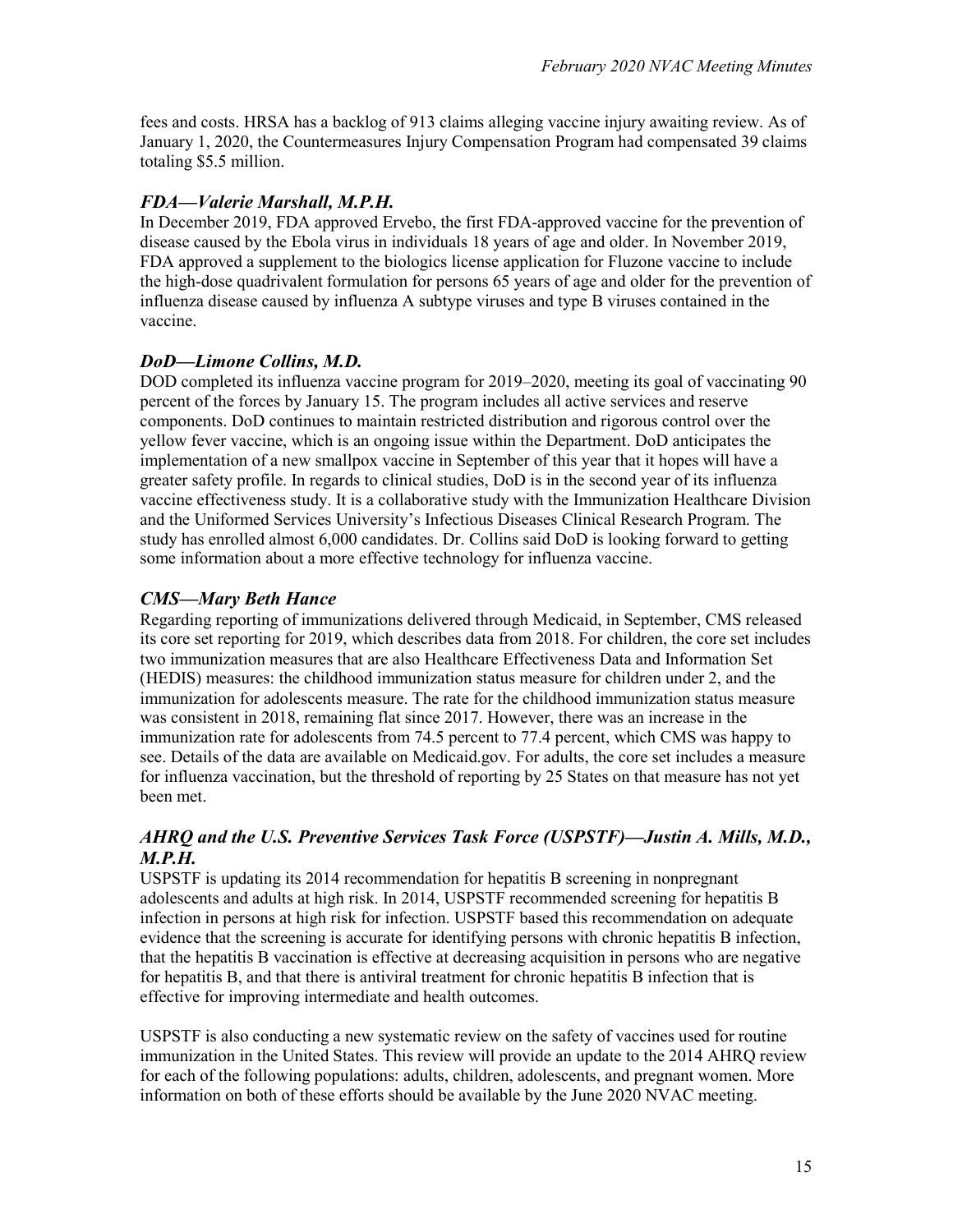fees and costs. HRSA has a backlog of 913 claims alleging vaccine injury awaiting review. As of January 1, 2020, the Countermeasures Injury Compensation Program had compensated 39 claims totaling \$5.5 million.

### *FDA—Valerie Marshall, M.P.H.*

In December 2019, FDA approved Ervebo, the first FDA-approved vaccine for the prevention of disease caused by the Ebola virus in individuals 18 years of age and older. In November 2019, FDA approved a supplement to the biologics license application for Fluzone vaccine to include the high-dose quadrivalent formulation for persons 65 years of age and older for the prevention of influenza disease caused by influenza A subtype viruses and type B viruses contained in the vaccine.

### *DoD—Limone Collins, M.D.*

DOD completed its influenza vaccine program for 2019–2020, meeting its goal of vaccinating 90 percent of the forces by January 15. The program includes all active services and reserve components. DoD continues to maintain restricted distribution and rigorous control over the yellow fever vaccine, which is an ongoing issue within the Department. DoD anticipates the implementation of a new smallpox vaccine in September of this year that it hopes will have a greater safety profile. In regards to clinical studies, DoD is in the second year of its influenza vaccine effectiveness study. It is a collaborative study with the Immunization Healthcare Division and the Uniformed Services University's Infectious Diseases Clinical Research Program. The study has enrolled almost 6,000 candidates. Dr. Collins said DoD is looking forward to getting some information about a more effective technology for influenza vaccine.

### *CMS—Mary Beth Hance*

Regarding reporting of immunizations delivered through Medicaid, in September, CMS released its core set reporting for 2019, which describes data from 2018. For children, the core set includes two immunization measures that are also Healthcare Effectiveness Data and Information Set (HEDIS) measures: the childhood immunization status measure for children under 2, and the immunization for adolescents measure. The rate for the childhood immunization status measure was consistent in 2018, remaining flat since 2017. However, there was an increase in the immunization rate for adolescents from 74.5 percent to 77.4 percent, which CMS was happy to see. Details of the data are available on Medicaid.gov. For adults, the core set includes a measure for influenza vaccination, but the threshold of reporting by 25 States on that measure has not yet been met.

### *AHRQ and the U.S. Preventive Services Task Force (USPSTF)—Justin A. Mills, M.D., M.P.H.*

USPSTF is updating its 2014 recommendation for hepatitis B screening in nonpregnant adolescents and adults at high risk. In 2014, USPSTF recommended screening for hepatitis B infection in persons at high risk for infection. USPSTF based this recommendation on adequate evidence that the screening is accurate for identifying persons with chronic hepatitis B infection, that the hepatitis B vaccination is effective at decreasing acquisition in persons who are negative for hepatitis B, and that there is antiviral treatment for chronic hepatitis B infection that is effective for improving intermediate and health outcomes.

USPSTF is also conducting a new systematic review on the safety of vaccines used for routine immunization in the United States. This review will provide an update to the 2014 AHRQ review for each of the following populations: adults, children, adolescents, and pregnant women. More information on both of these efforts should be available by the June 2020 NVAC meeting.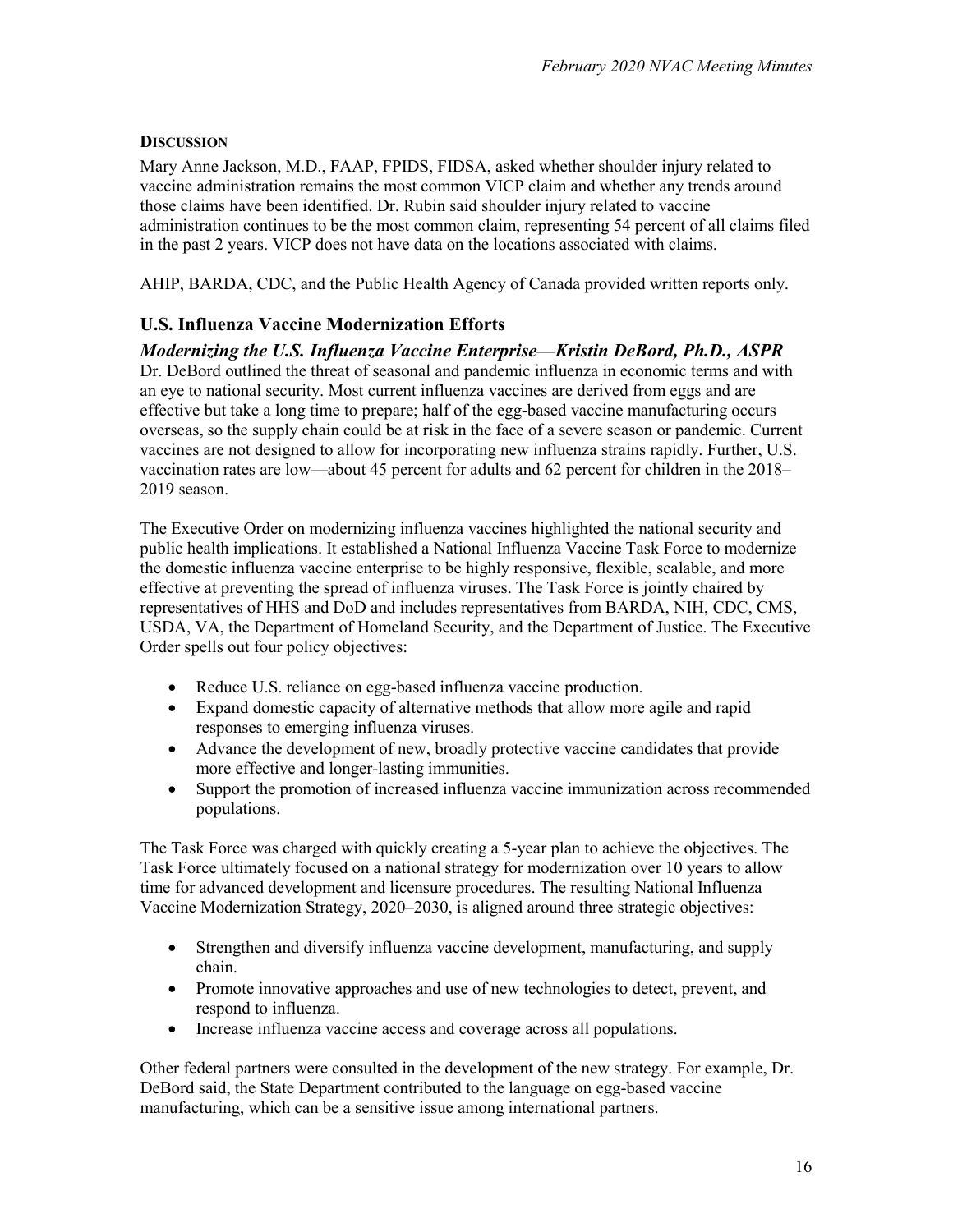#### **DISCUSSION**

Mary Anne Jackson, M.D., FAAP, FPIDS, FIDSA, asked whether shoulder injury related to vaccine administration remains the most common VICP claim and whether any trends around those claims have been identified. Dr. Rubin said shoulder injury related to vaccine administration continues to be the most common claim, representing 54 percent of all claims filed in the past 2 years. VICP does not have data on the locations associated with claims.

AHIP, BARDA, CDC, and the Public Health Agency of Canada provided written reports only.

### **U.S. Influenza Vaccine Modernization Efforts**

### *Modernizing the U.S. Influenza Vaccine Enterprise—Kristin DeBord, Ph.D., ASPR*

Dr. DeBord outlined the threat of seasonal and pandemic influenza in economic terms and with an eye to national security. Most current influenza vaccines are derived from eggs and are effective but take a long time to prepare; half of the egg-based vaccine manufacturing occurs overseas, so the supply chain could be at risk in the face of a severe season or pandemic. Current vaccines are not designed to allow for incorporating new influenza strains rapidly. Further, U.S. vaccination rates are low—about 45 percent for adults and 62 percent for children in the 2018– 2019 season.

The Executive Order on modernizing influenza vaccines highlighted the national security and public health implications. It established a National Influenza Vaccine Task Force to modernize the domestic influenza vaccine enterprise to be highly responsive, flexible, scalable, and more effective at preventing the spread of influenza viruses. The Task Force is jointly chaired by representatives of HHS and DoD and includes representatives from BARDA, NIH, CDC, CMS, USDA, VA, the Department of Homeland Security, and the Department of Justice. The Executive Order spells out four policy objectives:

- Reduce U.S. reliance on egg-based influenza vaccine production.
- Expand domestic capacity of alternative methods that allow more agile and rapid responses to emerging influenza viruses.
- Advance the development of new, broadly protective vaccine candidates that provide more effective and longer-lasting immunities.
- Support the promotion of increased influenza vaccine immunization across recommended populations.

The Task Force was charged with quickly creating a 5-year plan to achieve the objectives. The Task Force ultimately focused on a national strategy for modernization over 10 years to allow time for advanced development and licensure procedures. The resulting National Influenza Vaccine Modernization Strategy, 2020–2030, is aligned around three strategic objectives:

- Strengthen and diversify influenza vaccine development, manufacturing, and supply chain.
- Promote innovative approaches and use of new technologies to detect, prevent, and respond to influenza.
- Increase influenza vaccine access and coverage across all populations.

Other federal partners were consulted in the development of the new strategy. For example, Dr. DeBord said, the State Department contributed to the language on egg-based vaccine manufacturing, which can be a sensitive issue among international partners.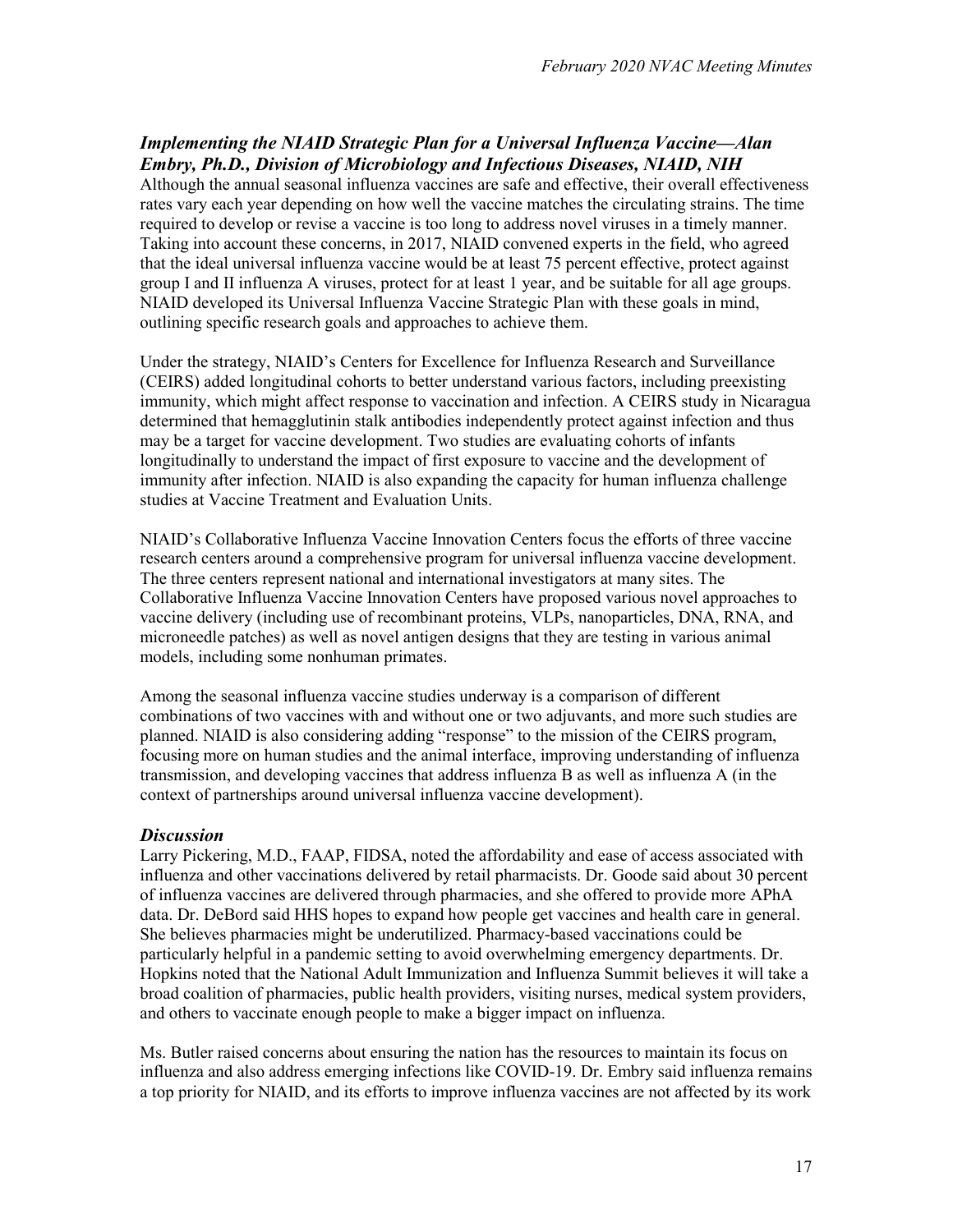### *Implementing the NIAID Strategic Plan for a Universal Influenza Vaccine—Alan Embry, Ph.D., Division of Microbiology and Infectious Diseases, NIAID, NIH*

Although the annual seasonal influenza vaccines are safe and effective, their overall effectiveness rates vary each year depending on how well the vaccine matches the circulating strains. The time required to develop or revise a vaccine is too long to address novel viruses in a timely manner. Taking into account these concerns, in 2017, NIAID convened experts in the field, who agreed that the ideal universal influenza vaccine would be at least 75 percent effective, protect against group I and II influenza A viruses, protect for at least 1 year, and be suitable for all age groups. NIAID developed its Universal Influenza Vaccine Strategic Plan with these goals in mind, outlining specific research goals and approaches to achieve them.

Under the strategy, NIAID's Centers for Excellence for Influenza Research and Surveillance (CEIRS) added longitudinal cohorts to better understand various factors, including preexisting immunity, which might affect response to vaccination and infection. A CEIRS study in Nicaragua determined that hemagglutinin stalk antibodies independently protect against infection and thus may be a target for vaccine development. Two studies are evaluating cohorts of infants longitudinally to understand the impact of first exposure to vaccine and the development of immunity after infection. NIAID is also expanding the capacity for human influenza challenge studies at Vaccine Treatment and Evaluation Units.

NIAID's Collaborative Influenza Vaccine Innovation Centers focus the efforts of three vaccine research centers around a comprehensive program for universal influenza vaccine development. The three centers represent national and international investigators at many sites. The Collaborative Influenza Vaccine Innovation Centers have proposed various novel approaches to vaccine delivery (including use of recombinant proteins, VLPs, nanoparticles, DNA, RNA, and microneedle patches) as well as novel antigen designs that they are testing in various animal models, including some nonhuman primates.

Among the seasonal influenza vaccine studies underway is a comparison of different combinations of two vaccines with and without one or two adjuvants, and more such studies are planned. NIAID is also considering adding "response" to the mission of the CEIRS program, focusing more on human studies and the animal interface, improving understanding of influenza transmission, and developing vaccines that address influenza B as well as influenza A (in the context of partnerships around universal influenza vaccine development).

#### *Discussion*

Larry Pickering, M.D., FAAP, FIDSA, noted the affordability and ease of access associated with influenza and other vaccinations delivered by retail pharmacists. Dr. Goode said about 30 percent of influenza vaccines are delivered through pharmacies, and she offered to provide more APhA data. Dr. DeBord said HHS hopes to expand how people get vaccines and health care in general. She believes pharmacies might be underutilized. Pharmacy-based vaccinations could be particularly helpful in a pandemic setting to avoid overwhelming emergency departments. Dr. Hopkins noted that the National Adult Immunization and Influenza Summit believes it will take a broad coalition of pharmacies, public health providers, visiting nurses, medical system providers, and others to vaccinate enough people to make a bigger impact on influenza.

Ms. Butler raised concerns about ensuring the nation has the resources to maintain its focus on influenza and also address emerging infections like COVID-19. Dr. Embry said influenza remains a top priority for NIAID, and its efforts to improve influenza vaccines are not affected by its work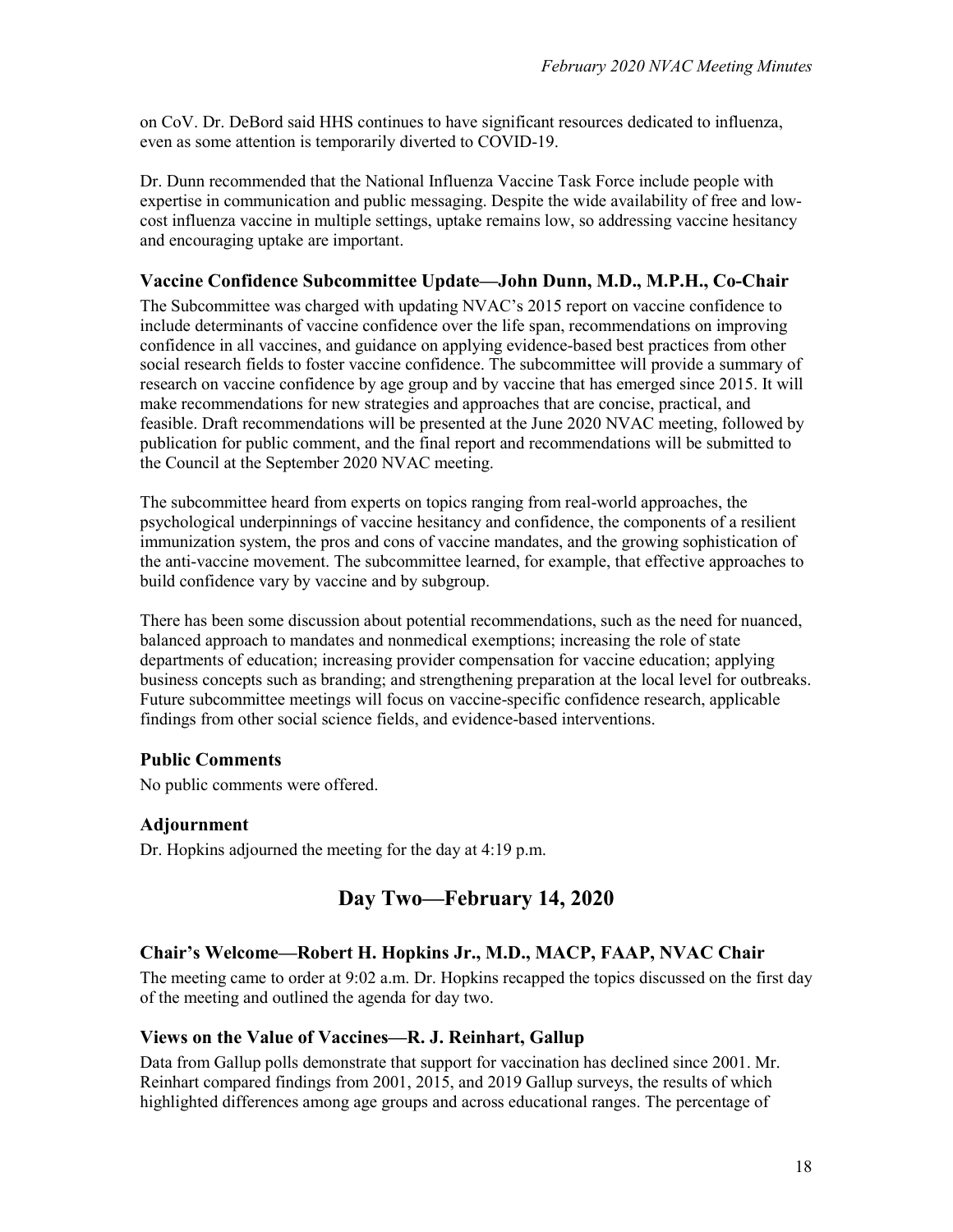on CoV. Dr. DeBord said HHS continues to have significant resources dedicated to influenza, even as some attention is temporarily diverted to COVID-19.

Dr. Dunn recommended that the National Influenza Vaccine Task Force include people with expertise in communication and public messaging. Despite the wide availability of free and lowcost influenza vaccine in multiple settings, uptake remains low, so addressing vaccine hesitancy and encouraging uptake are important.

#### **Vaccine Confidence Subcommittee Update—John Dunn, M.D., M.P.H., Co-Chair**

The Subcommittee was charged with updating NVAC's 2015 report on vaccine confidence to include determinants of vaccine confidence over the life span, recommendations on improving confidence in all vaccines, and guidance on applying evidence-based best practices from other social research fields to foster vaccine confidence. The subcommittee will provide a summary of research on vaccine confidence by age group and by vaccine that has emerged since 2015. It will make recommendations for new strategies and approaches that are concise, practical, and feasible. Draft recommendations will be presented at the June 2020 NVAC meeting, followed by publication for public comment, and the final report and recommendations will be submitted to the Council at the September 2020 NVAC meeting.

The subcommittee heard from experts on topics ranging from real-world approaches, the psychological underpinnings of vaccine hesitancy and confidence, the components of a resilient immunization system, the pros and cons of vaccine mandates, and the growing sophistication of the anti-vaccine movement. The subcommittee learned, for example, that effective approaches to build confidence vary by vaccine and by subgroup.

There has been some discussion about potential recommendations, such as the need for nuanced, balanced approach to mandates and nonmedical exemptions; increasing the role of state departments of education; increasing provider compensation for vaccine education; applying business concepts such as branding; and strengthening preparation at the local level for outbreaks. Future subcommittee meetings will focus on vaccine-specific confidence research, applicable findings from other social science fields, and evidence-based interventions.

#### **Public Comments**

No public comments were offered.

#### **Adjournment**

Dr. Hopkins adjourned the meeting for the day at 4:19 p.m.

### **Day Two—February 14, 2020**

#### **Chair's Welcome—Robert H. Hopkins Jr., M.D., MACP, FAAP, NVAC Chair**

The meeting came to order at 9:02 a.m. Dr. Hopkins recapped the topics discussed on the first day of the meeting and outlined the agenda for day two.

#### **Views on the Value of Vaccines—R. J. Reinhart, Gallup**

Data from Gallup polls demonstrate that support for vaccination has declined since 2001. Mr. Reinhart compared findings from 2001, 2015, and 2019 Gallup surveys, the results of which highlighted differences among age groups and across educational ranges. The percentage of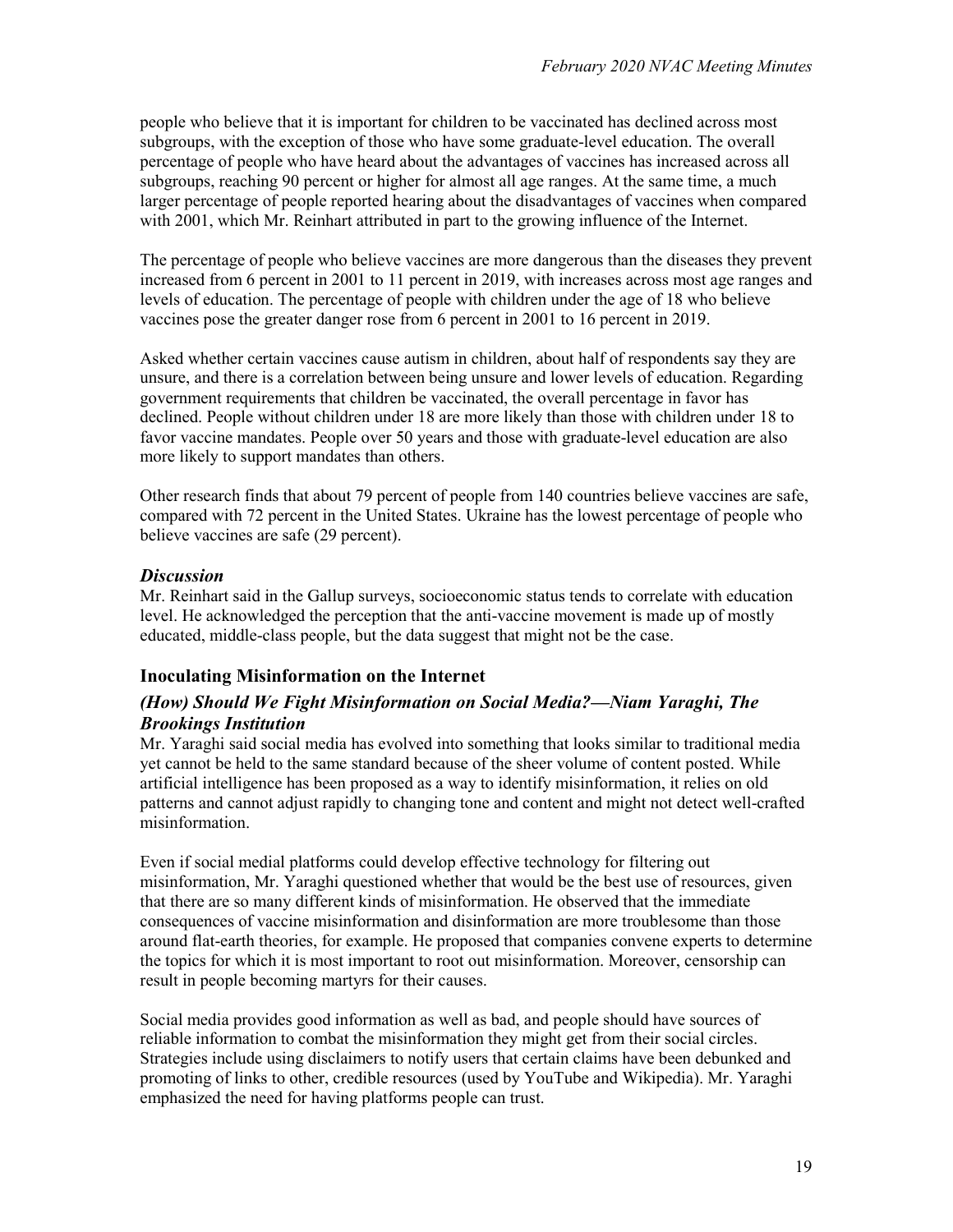people who believe that it is important for children to be vaccinated has declined across most subgroups, with the exception of those who have some graduate-level education. The overall percentage of people who have heard about the advantages of vaccines has increased across all subgroups, reaching 90 percent or higher for almost all age ranges. At the same time, a much larger percentage of people reported hearing about the disadvantages of vaccines when compared with 2001, which Mr. Reinhart attributed in part to the growing influence of the Internet.

The percentage of people who believe vaccines are more dangerous than the diseases they prevent increased from 6 percent in 2001 to 11 percent in 2019, with increases across most age ranges and levels of education. The percentage of people with children under the age of 18 who believe vaccines pose the greater danger rose from 6 percent in 2001 to 16 percent in 2019.

Asked whether certain vaccines cause autism in children, about half of respondents say they are unsure, and there is a correlation between being unsure and lower levels of education. Regarding government requirements that children be vaccinated, the overall percentage in favor has declined. People without children under 18 are more likely than those with children under 18 to favor vaccine mandates. People over 50 years and those with graduate-level education are also more likely to support mandates than others.

Other research finds that about 79 percent of people from 140 countries believe vaccines are safe, compared with 72 percent in the United States. Ukraine has the lowest percentage of people who believe vaccines are safe (29 percent).

### *Discussion*

Mr. Reinhart said in the Gallup surveys, socioeconomic status tends to correlate with education level. He acknowledged the perception that the anti-vaccine movement is made up of mostly educated, middle-class people, but the data suggest that might not be the case.

### **Inoculating Misinformation on the Internet**

### *(How) Should We Fight Misinformation on Social Media?—Niam Yaraghi, The Brookings Institution*

Mr. Yaraghi said social media has evolved into something that looks similar to traditional media yet cannot be held to the same standard because of the sheer volume of content posted. While artificial intelligence has been proposed as a way to identify misinformation, it relies on old patterns and cannot adjust rapidly to changing tone and content and might not detect well-crafted misinformation.

Even if social medial platforms could develop effective technology for filtering out misinformation, Mr. Yaraghi questioned whether that would be the best use of resources, given that there are so many different kinds of misinformation. He observed that the immediate consequences of vaccine misinformation and disinformation are more troublesome than those around flat-earth theories, for example. He proposed that companies convene experts to determine the topics for which it is most important to root out misinformation. Moreover, censorship can result in people becoming martyrs for their causes.

Social media provides good information as well as bad, and people should have sources of reliable information to combat the misinformation they might get from their social circles. Strategies include using disclaimers to notify users that certain claims have been debunked and promoting of links to other, credible resources (used by YouTube and Wikipedia). Mr. Yaraghi emphasized the need for having platforms people can trust.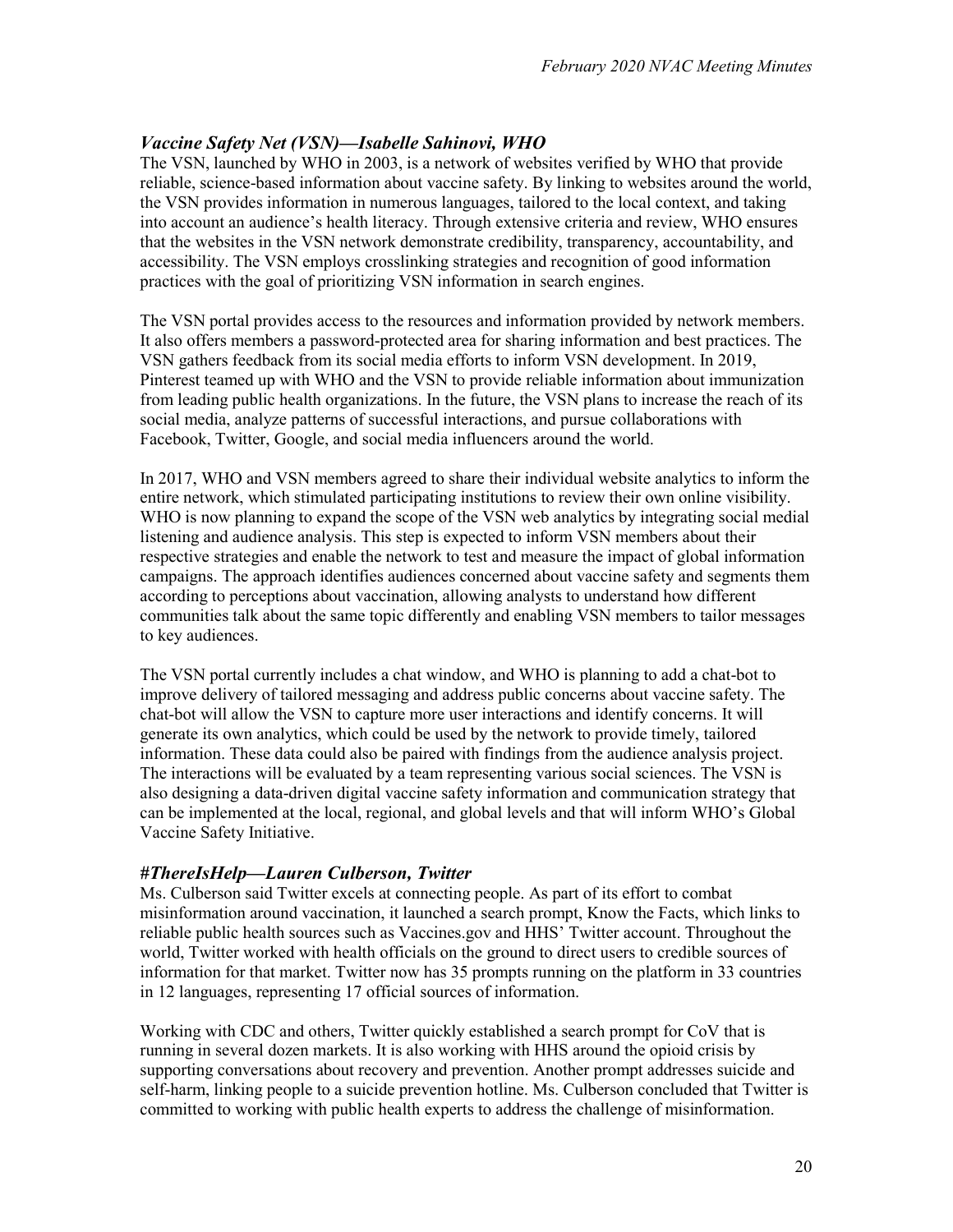### *Vaccine Safety Net (VSN)—Isabelle Sahinovi, WHO*

The VSN, launched by WHO in 2003, is a network of websites verified by WHO that provide reliable, science-based information about vaccine safety. By linking to websites around the world, the VSN provides information in numerous languages, tailored to the local context, and taking into account an audience's health literacy. Through extensive criteria and review, WHO ensures that the websites in the VSN network demonstrate credibility, transparency, accountability, and accessibility. The VSN employs crosslinking strategies and recognition of good information practices with the goal of prioritizing VSN information in search engines.

The VSN portal provides access to the resources and information provided by network members. It also offers members a password-protected area for sharing information and best practices. The VSN gathers feedback from its social media efforts to inform VSN development. In 2019, Pinterest teamed up with WHO and the VSN to provide reliable information about immunization from leading public health organizations. In the future, the VSN plans to increase the reach of its social media, analyze patterns of successful interactions, and pursue collaborations with Facebook, Twitter, Google, and social media influencers around the world.

In 2017, WHO and VSN members agreed to share their individual website analytics to inform the entire network, which stimulated participating institutions to review their own online visibility. WHO is now planning to expand the scope of the VSN web analytics by integrating social medial listening and audience analysis. This step is expected to inform VSN members about their respective strategies and enable the network to test and measure the impact of global information campaigns. The approach identifies audiences concerned about vaccine safety and segments them according to perceptions about vaccination, allowing analysts to understand how different communities talk about the same topic differently and enabling VSN members to tailor messages to key audiences.

The VSN portal currently includes a chat window, and WHO is planning to add a chat-bot to improve delivery of tailored messaging and address public concerns about vaccine safety. The chat-bot will allow the VSN to capture more user interactions and identify concerns. It will generate its own analytics, which could be used by the network to provide timely, tailored information. These data could also be paired with findings from the audience analysis project. The interactions will be evaluated by a team representing various social sciences. The VSN is also designing a data-driven digital vaccine safety information and communication strategy that can be implemented at the local, regional, and global levels and that will inform WHO's Global Vaccine Safety Initiative.

#### *#ThereIsHelp—Lauren Culberson, Twitter*

Ms. Culberson said Twitter excels at connecting people. As part of its effort to combat misinformation around vaccination, it launched a search prompt, Know the Facts, which links to reliable public health sources such as Vaccines.gov and HHS' Twitter account. Throughout the world, Twitter worked with health officials on the ground to direct users to credible sources of information for that market. Twitter now has 35 prompts running on the platform in 33 countries in 12 languages, representing 17 official sources of information.

Working with CDC and others, Twitter quickly established a search prompt for CoV that is running in several dozen markets. It is also working with HHS around the opioid crisis by supporting conversations about recovery and prevention. Another prompt addresses suicide and self-harm, linking people to a suicide prevention hotline. Ms. Culberson concluded that Twitter is committed to working with public health experts to address the challenge of misinformation.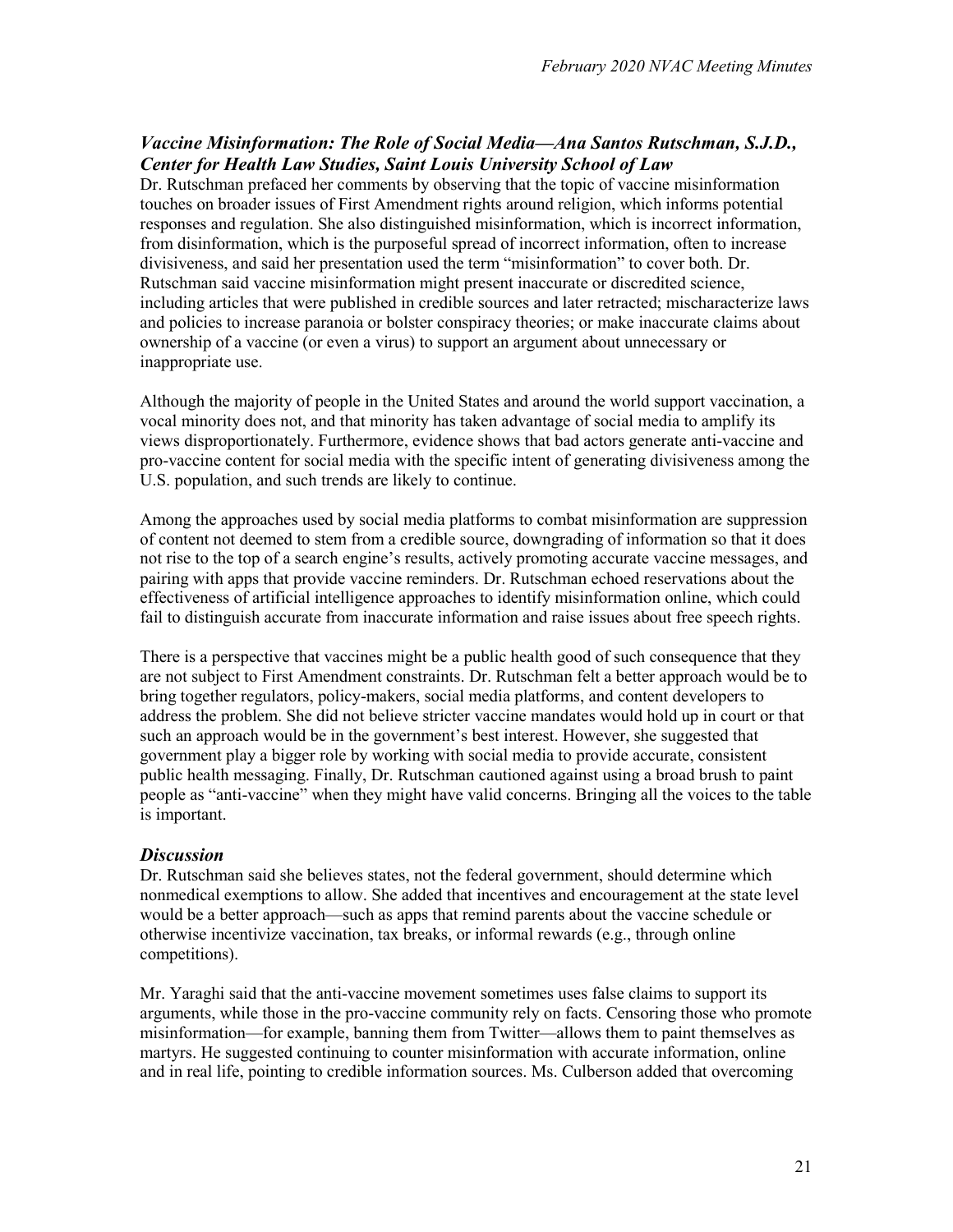### *Vaccine Misinformation: The Role of Social Media—Ana Santos Rutschman, S.J.D., Center for Health Law Studies, Saint Louis University School of Law*

Dr. Rutschman prefaced her comments by observing that the topic of vaccine misinformation touches on broader issues of First Amendment rights around religion, which informs potential responses and regulation. She also distinguished misinformation, which is incorrect information, from disinformation, which is the purposeful spread of incorrect information, often to increase divisiveness, and said her presentation used the term "misinformation" to cover both. Dr. Rutschman said vaccine misinformation might present inaccurate or discredited science, including articles that were published in credible sources and later retracted; mischaracterize laws and policies to increase paranoia or bolster conspiracy theories; or make inaccurate claims about ownership of a vaccine (or even a virus) to support an argument about unnecessary or inappropriate use.

Although the majority of people in the United States and around the world support vaccination, a vocal minority does not, and that minority has taken advantage of social media to amplify its views disproportionately. Furthermore, evidence shows that bad actors generate anti-vaccine and pro-vaccine content for social media with the specific intent of generating divisiveness among the U.S. population, and such trends are likely to continue.

Among the approaches used by social media platforms to combat misinformation are suppression of content not deemed to stem from a credible source, downgrading of information so that it does not rise to the top of a search engine's results, actively promoting accurate vaccine messages, and pairing with apps that provide vaccine reminders. Dr. Rutschman echoed reservations about the effectiveness of artificial intelligence approaches to identify misinformation online, which could fail to distinguish accurate from inaccurate information and raise issues about free speech rights.

There is a perspective that vaccines might be a public health good of such consequence that they are not subject to First Amendment constraints. Dr. Rutschman felt a better approach would be to bring together regulators, policy-makers, social media platforms, and content developers to address the problem. She did not believe stricter vaccine mandates would hold up in court or that such an approach would be in the government's best interest. However, she suggested that government play a bigger role by working with social media to provide accurate, consistent public health messaging. Finally, Dr. Rutschman cautioned against using a broad brush to paint people as "anti-vaccine" when they might have valid concerns. Bringing all the voices to the table is important.

#### *Discussion*

Dr. Rutschman said she believes states, not the federal government, should determine which nonmedical exemptions to allow. She added that incentives and encouragement at the state level would be a better approach—such as apps that remind parents about the vaccine schedule or otherwise incentivize vaccination, tax breaks, or informal rewards (e.g., through online competitions).

Mr. Yaraghi said that the anti-vaccine movement sometimes uses false claims to support its arguments, while those in the pro-vaccine community rely on facts. Censoring those who promote misinformation—for example, banning them from Twitter—allows them to paint themselves as martyrs. He suggested continuing to counter misinformation with accurate information, online and in real life, pointing to credible information sources. Ms. Culberson added that overcoming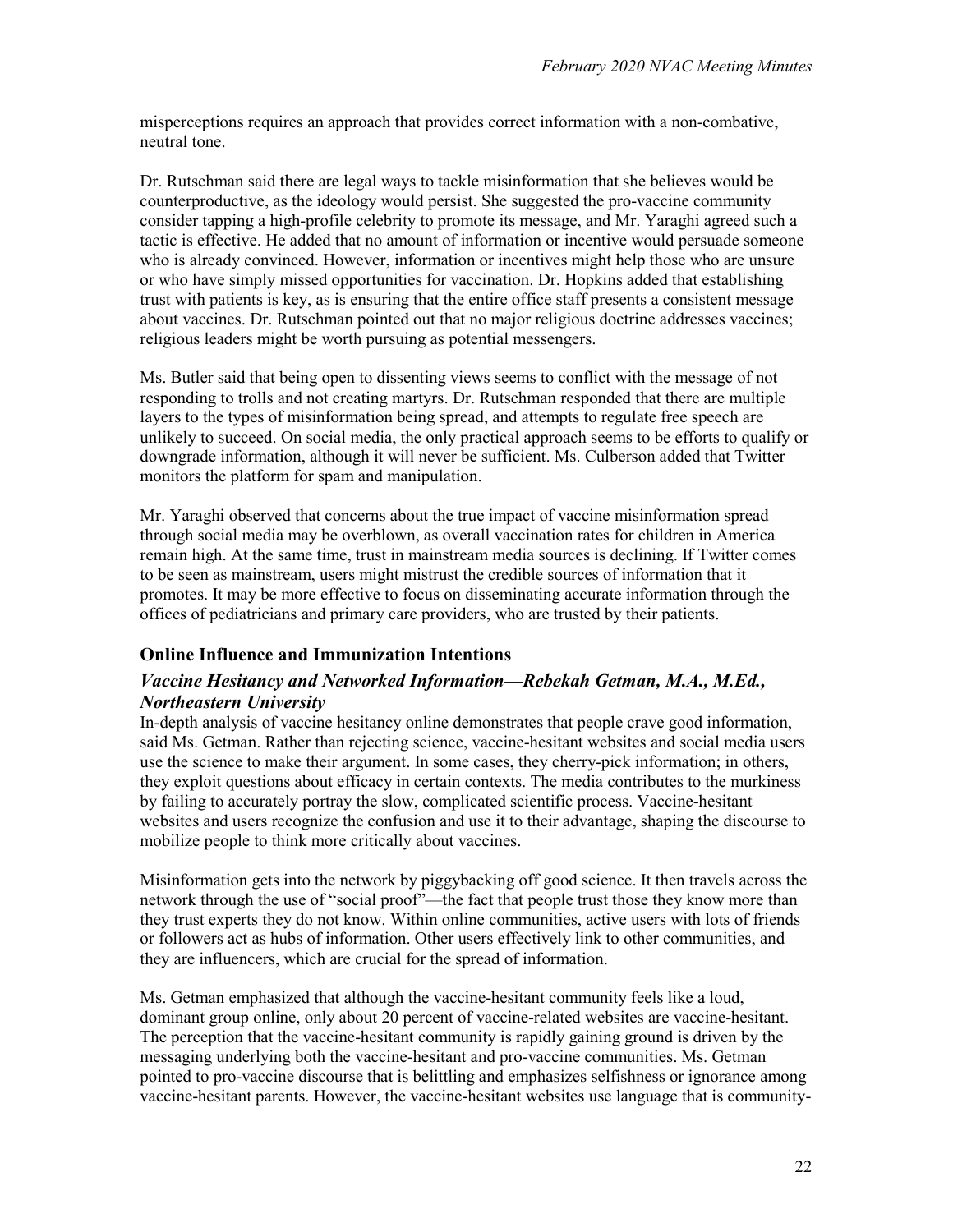misperceptions requires an approach that provides correct information with a non-combative, neutral tone.

Dr. Rutschman said there are legal ways to tackle misinformation that she believes would be counterproductive, as the ideology would persist. She suggested the pro-vaccine community consider tapping a high-profile celebrity to promote its message, and Mr. Yaraghi agreed such a tactic is effective. He added that no amount of information or incentive would persuade someone who is already convinced. However, information or incentives might help those who are unsure or who have simply missed opportunities for vaccination. Dr. Hopkins added that establishing trust with patients is key, as is ensuring that the entire office staff presents a consistent message about vaccines. Dr. Rutschman pointed out that no major religious doctrine addresses vaccines; religious leaders might be worth pursuing as potential messengers.

Ms. Butler said that being open to dissenting views seems to conflict with the message of not responding to trolls and not creating martyrs. Dr. Rutschman responded that there are multiple layers to the types of misinformation being spread, and attempts to regulate free speech are unlikely to succeed. On social media, the only practical approach seems to be efforts to qualify or downgrade information, although it will never be sufficient. Ms. Culberson added that Twitter monitors the platform for spam and manipulation.

Mr. Yaraghi observed that concerns about the true impact of vaccine misinformation spread through social media may be overblown, as overall vaccination rates for children in America remain high. At the same time, trust in mainstream media sources is declining. If Twitter comes to be seen as mainstream, users might mistrust the credible sources of information that it promotes. It may be more effective to focus on disseminating accurate information through the offices of pediatricians and primary care providers, who are trusted by their patients.

#### **Online Influence and Immunization Intentions**

#### *Vaccine Hesitancy and Networked Information—Rebekah Getman, M.A., M.Ed., Northeastern University*

In-depth analysis of vaccine hesitancy online demonstrates that people crave good information, said Ms. Getman. Rather than rejecting science, vaccine-hesitant websites and social media users use the science to make their argument. In some cases, they cherry-pick information; in others, they exploit questions about efficacy in certain contexts. The media contributes to the murkiness by failing to accurately portray the slow, complicated scientific process. Vaccine-hesitant websites and users recognize the confusion and use it to their advantage, shaping the discourse to mobilize people to think more critically about vaccines.

Misinformation gets into the network by piggybacking off good science. It then travels across the network through the use of "social proof"—the fact that people trust those they know more than they trust experts they do not know. Within online communities, active users with lots of friends or followers act as hubs of information. Other users effectively link to other communities, and they are influencers, which are crucial for the spread of information.

Ms. Getman emphasized that although the vaccine-hesitant community feels like a loud, dominant group online, only about 20 percent of vaccine-related websites are vaccine-hesitant. The perception that the vaccine-hesitant community is rapidly gaining ground is driven by the messaging underlying both the vaccine-hesitant and pro-vaccine communities. Ms. Getman pointed to pro-vaccine discourse that is belittling and emphasizes selfishness or ignorance among vaccine-hesitant parents. However, the vaccine-hesitant websites use language that is community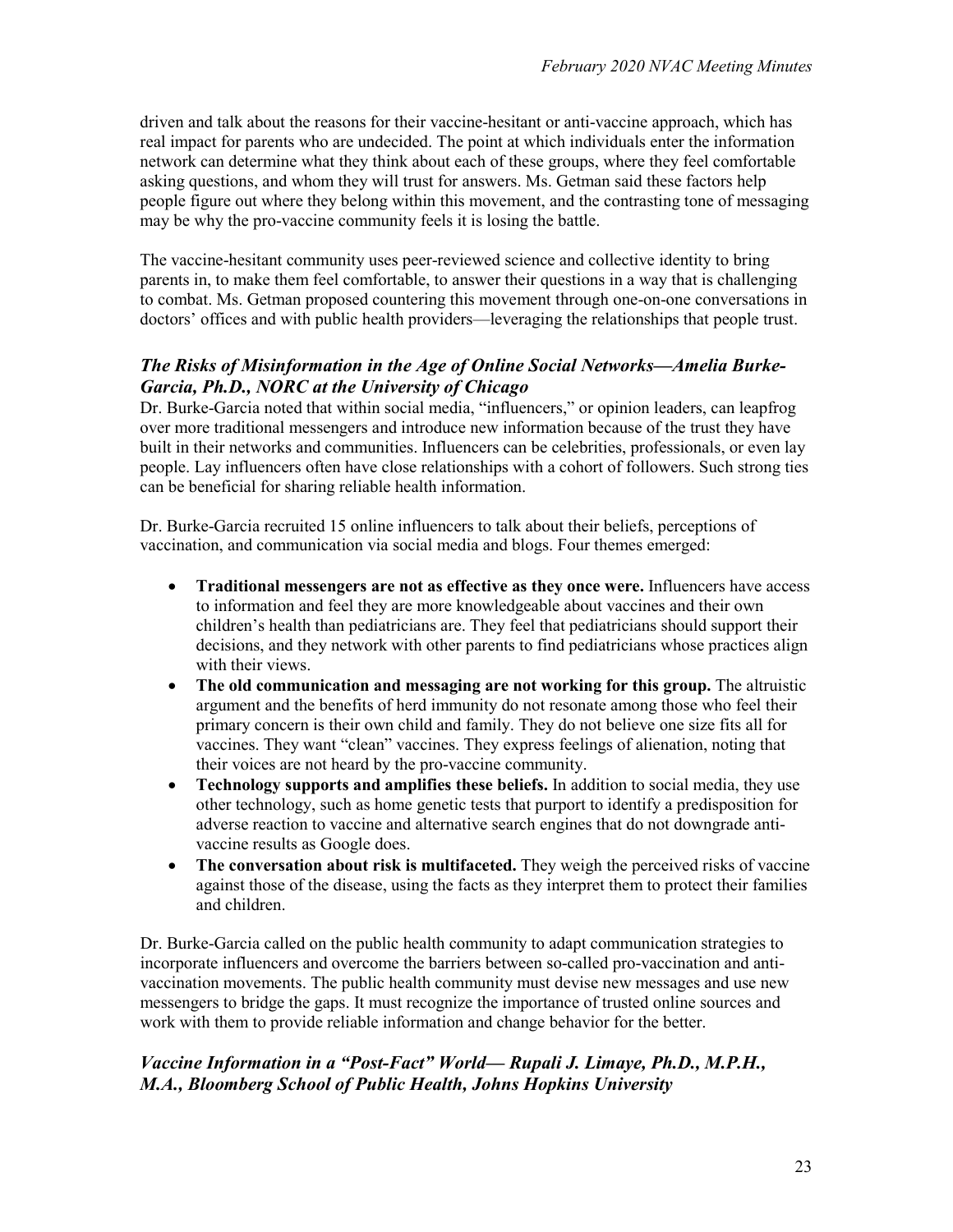driven and talk about the reasons for their vaccine-hesitant or anti-vaccine approach, which has real impact for parents who are undecided. The point at which individuals enter the information network can determine what they think about each of these groups, where they feel comfortable asking questions, and whom they will trust for answers. Ms. Getman said these factors help people figure out where they belong within this movement, and the contrasting tone of messaging may be why the pro-vaccine community feels it is losing the battle.

The vaccine-hesitant community uses peer-reviewed science and collective identity to bring parents in, to make them feel comfortable, to answer their questions in a way that is challenging to combat. Ms. Getman proposed countering this movement through one-on-one conversations in doctors' offices and with public health providers—leveraging the relationships that people trust.

### *The Risks of Misinformation in the Age of Online Social Networks—Amelia Burke-Garcia, Ph.D., NORC at the University of Chicago*

Dr. Burke-Garcia noted that within social media, "influencers," or opinion leaders, can leapfrog over more traditional messengers and introduce new information because of the trust they have built in their networks and communities. Influencers can be celebrities, professionals, or even lay people. Lay influencers often have close relationships with a cohort of followers. Such strong ties can be beneficial for sharing reliable health information.

Dr. Burke-Garcia recruited 15 online influencers to talk about their beliefs, perceptions of vaccination, and communication via social media and blogs. Four themes emerged:

- **Traditional messengers are not as effective as they once were.** Influencers have access to information and feel they are more knowledgeable about vaccines and their own children's health than pediatricians are. They feel that pediatricians should support their decisions, and they network with other parents to find pediatricians whose practices align with their views.
- **The old communication and messaging are not working for this group.** The altruistic argument and the benefits of herd immunity do not resonate among those who feel their primary concern is their own child and family. They do not believe one size fits all for vaccines. They want "clean" vaccines. They express feelings of alienation, noting that their voices are not heard by the pro-vaccine community.
- **Technology supports and amplifies these beliefs.** In addition to social media, they use other technology, such as home genetic tests that purport to identify a predisposition for adverse reaction to vaccine and alternative search engines that do not downgrade antivaccine results as Google does.
- **The conversation about risk is multifaceted.** They weigh the perceived risks of vaccine against those of the disease, using the facts as they interpret them to protect their families and children.

Dr. Burke-Garcia called on the public health community to adapt communication strategies to incorporate influencers and overcome the barriers between so-called pro-vaccination and antivaccination movements. The public health community must devise new messages and use new messengers to bridge the gaps. It must recognize the importance of trusted online sources and work with them to provide reliable information and change behavior for the better.

### *Vaccine Information in a "Post-Fact" World— Rupali J. Limaye, Ph.D., M.P.H., M.A., Bloomberg School of Public Health, Johns Hopkins University*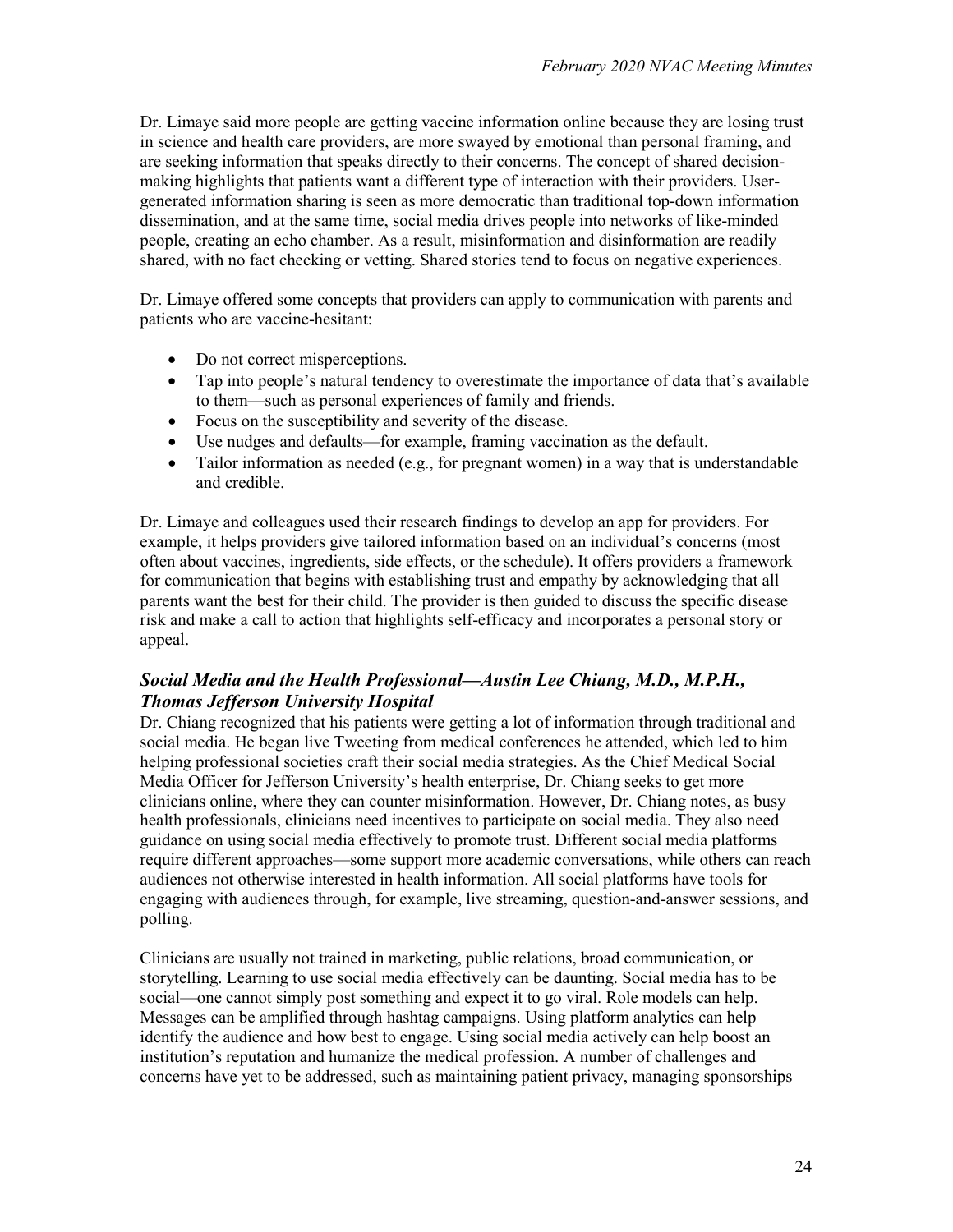Dr. Limaye said more people are getting vaccine information online because they are losing trust in science and health care providers, are more swayed by emotional than personal framing, and are seeking information that speaks directly to their concerns. The concept of shared decisionmaking highlights that patients want a different type of interaction with their providers. Usergenerated information sharing is seen as more democratic than traditional top-down information dissemination, and at the same time, social media drives people into networks of like-minded people, creating an echo chamber. As a result, misinformation and disinformation are readily shared, with no fact checking or vetting. Shared stories tend to focus on negative experiences.

Dr. Limaye offered some concepts that providers can apply to communication with parents and patients who are vaccine-hesitant:

- Do not correct misperceptions.
- Tap into people's natural tendency to overestimate the importance of data that's available to them—such as personal experiences of family and friends.
- Focus on the susceptibility and severity of the disease.
- Use nudges and defaults—for example, framing vaccination as the default.
- Tailor information as needed (e.g., for pregnant women) in a way that is understandable and credible.

Dr. Limaye and colleagues used their research findings to develop an app for providers. For example, it helps providers give tailored information based on an individual's concerns (most often about vaccines, ingredients, side effects, or the schedule). It offers providers a framework for communication that begins with establishing trust and empathy by acknowledging that all parents want the best for their child. The provider is then guided to discuss the specific disease risk and make a call to action that highlights self-efficacy and incorporates a personal story or appeal.

### *Social Media and the Health Professional—Austin Lee Chiang, M.D., M.P.H., Thomas Jefferson University Hospital*

Dr. Chiang recognized that his patients were getting a lot of information through traditional and social media. He began live Tweeting from medical conferences he attended, which led to him helping professional societies craft their social media strategies. As the Chief Medical Social Media Officer for Jefferson University's health enterprise, Dr. Chiang seeks to get more clinicians online, where they can counter misinformation. However, Dr. Chiang notes, as busy health professionals, clinicians need incentives to participate on social media. They also need guidance on using social media effectively to promote trust. Different social media platforms require different approaches—some support more academic conversations, while others can reach audiences not otherwise interested in health information. All social platforms have tools for engaging with audiences through, for example, live streaming, question-and-answer sessions, and polling.

Clinicians are usually not trained in marketing, public relations, broad communication, or storytelling. Learning to use social media effectively can be daunting. Social media has to be social—one cannot simply post something and expect it to go viral. Role models can help. Messages can be amplified through hashtag campaigns. Using platform analytics can help identify the audience and how best to engage. Using social media actively can help boost an institution's reputation and humanize the medical profession. A number of challenges and concerns have yet to be addressed, such as maintaining patient privacy, managing sponsorships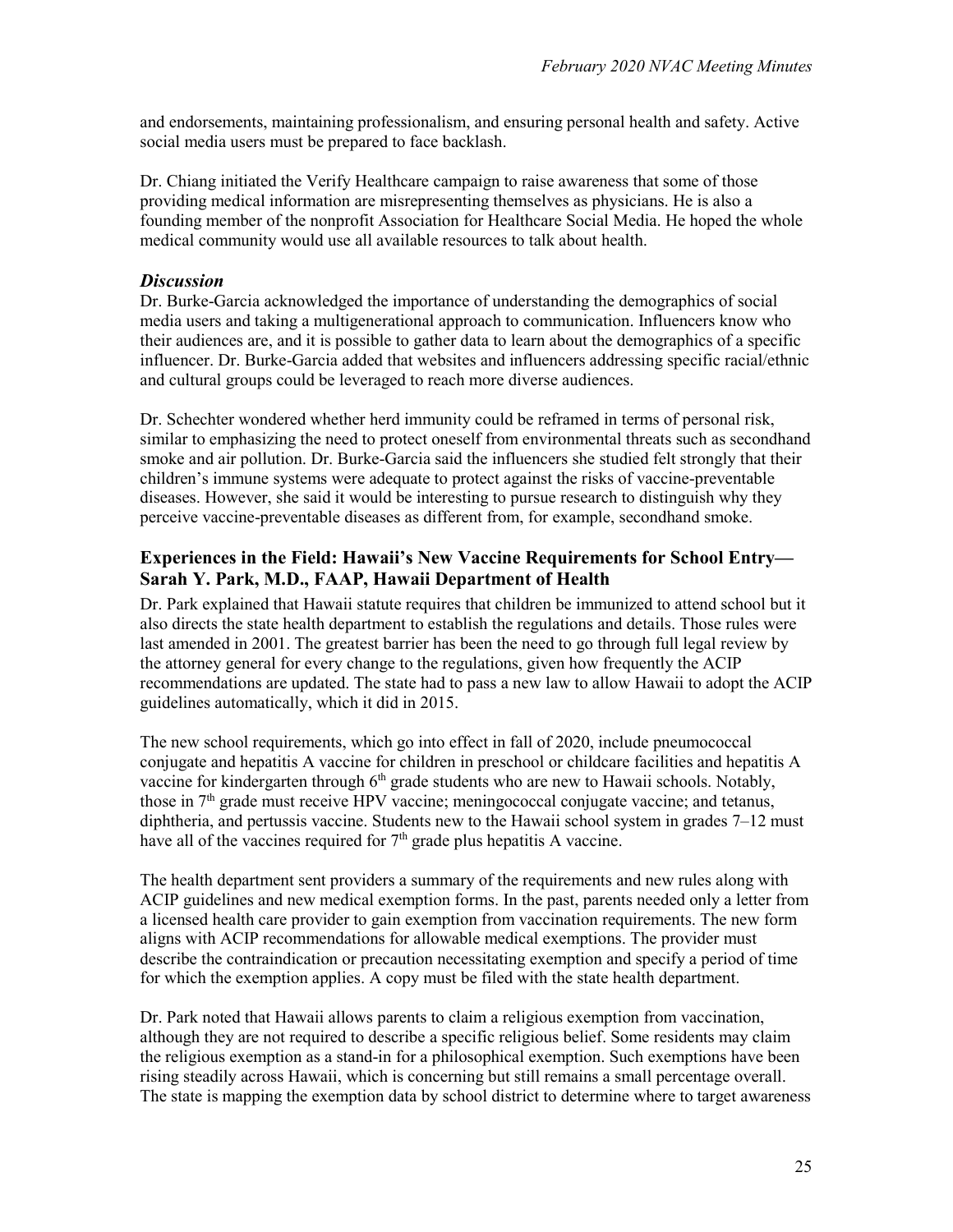and endorsements, maintaining professionalism, and ensuring personal health and safety. Active social media users must be prepared to face backlash.

Dr. Chiang initiated the Verify Healthcare campaign to raise awareness that some of those providing medical information are misrepresenting themselves as physicians. He is also a founding member of the nonprofit Association for Healthcare Social Media. He hoped the whole medical community would use all available resources to talk about health.

#### *Discussion*

Dr. Burke-Garcia acknowledged the importance of understanding the demographics of social media users and taking a multigenerational approach to communication. Influencers know who their audiences are, and it is possible to gather data to learn about the demographics of a specific influencer. Dr. Burke-Garcia added that websites and influencers addressing specific racial/ethnic and cultural groups could be leveraged to reach more diverse audiences.

Dr. Schechter wondered whether herd immunity could be reframed in terms of personal risk, similar to emphasizing the need to protect oneself from environmental threats such as secondhand smoke and air pollution. Dr. Burke-Garcia said the influencers she studied felt strongly that their children's immune systems were adequate to protect against the risks of vaccine-preventable diseases. However, she said it would be interesting to pursue research to distinguish why they perceive vaccine-preventable diseases as different from, for example, secondhand smoke.

#### **Experiences in the Field: Hawaii's New Vaccine Requirements for School Entry— Sarah Y. Park, M.D., FAAP, Hawaii Department of Health**

Dr. Park explained that Hawaii statute requires that children be immunized to attend school but it also directs the state health department to establish the regulations and details. Those rules were last amended in 2001. The greatest barrier has been the need to go through full legal review by the attorney general for every change to the regulations, given how frequently the ACIP recommendations are updated. The state had to pass a new law to allow Hawaii to adopt the ACIP guidelines automatically, which it did in 2015.

The new school requirements, which go into effect in fall of 2020, include pneumococcal conjugate and hepatitis A vaccine for children in preschool or childcare facilities and hepatitis A vaccine for kindergarten through 6<sup>th</sup> grade students who are new to Hawaii schools. Notably, those in  $7<sup>th</sup>$  grade must receive HPV vaccine; meningococcal conjugate vaccine; and tetanus, diphtheria, and pertussis vaccine. Students new to the Hawaii school system in grades 7–12 must have all of the vaccines required for  $7<sup>th</sup>$  grade plus hepatitis A vaccine.

The health department sent providers a summary of the requirements and new rules along with ACIP guidelines and new medical exemption forms. In the past, parents needed only a letter from a licensed health care provider to gain exemption from vaccination requirements. The new form aligns with ACIP recommendations for allowable medical exemptions. The provider must describe the contraindication or precaution necessitating exemption and specify a period of time for which the exemption applies. A copy must be filed with the state health department.

Dr. Park noted that Hawaii allows parents to claim a religious exemption from vaccination, although they are not required to describe a specific religious belief. Some residents may claim the religious exemption as a stand-in for a philosophical exemption. Such exemptions have been rising steadily across Hawaii, which is concerning but still remains a small percentage overall. The state is mapping the exemption data by school district to determine where to target awareness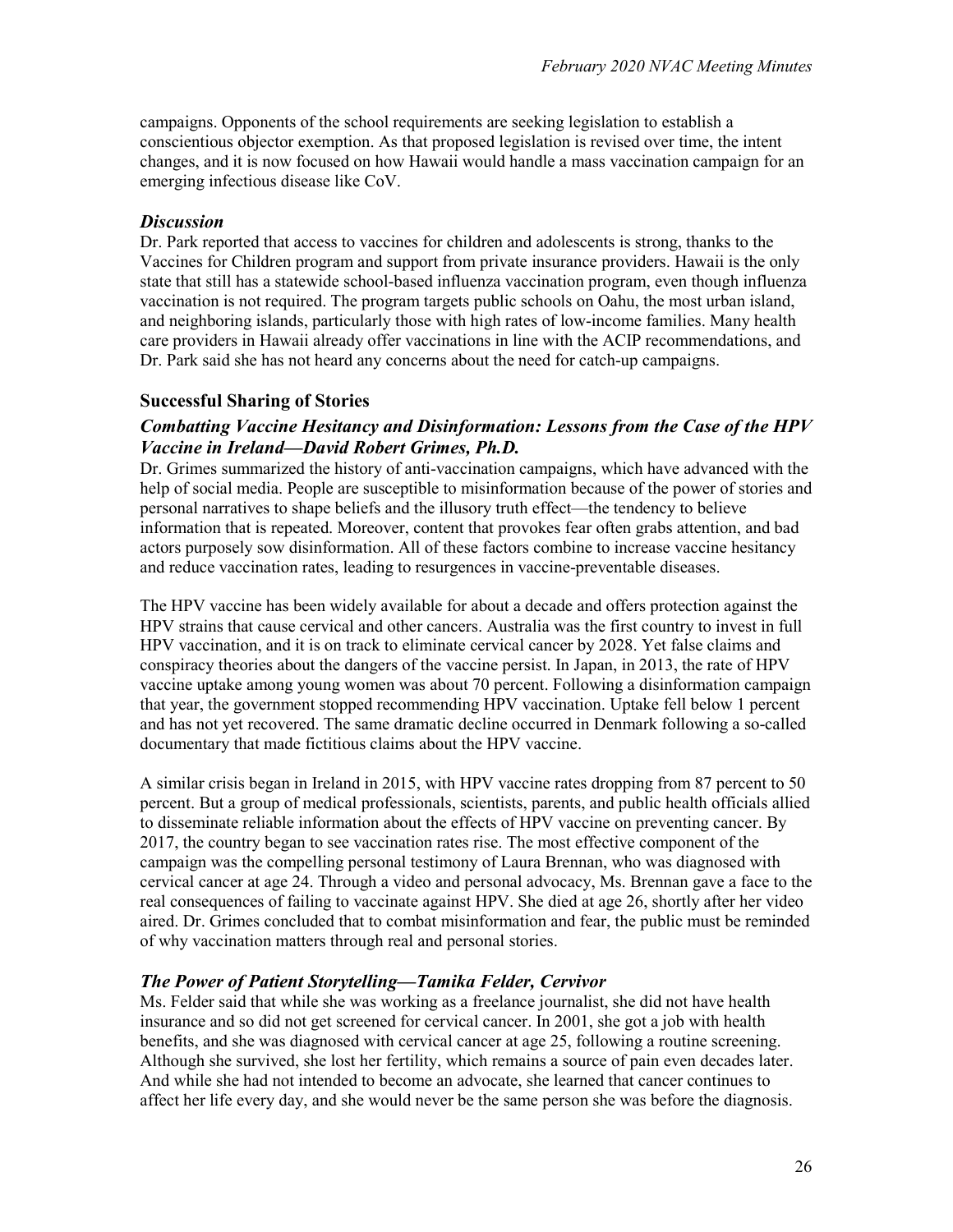campaigns. Opponents of the school requirements are seeking legislation to establish a conscientious objector exemption. As that proposed legislation is revised over time, the intent changes, and it is now focused on how Hawaii would handle a mass vaccination campaign for an emerging infectious disease like CoV.

#### *Discussion*

Dr. Park reported that access to vaccines for children and adolescents is strong, thanks to the Vaccines for Children program and support from private insurance providers. Hawaii is the only state that still has a statewide school-based influenza vaccination program, even though influenza vaccination is not required. The program targets public schools on Oahu, the most urban island, and neighboring islands, particularly those with high rates of low-income families. Many health care providers in Hawaii already offer vaccinations in line with the ACIP recommendations, and Dr. Park said she has not heard any concerns about the need for catch-up campaigns.

#### **Successful Sharing of Stories**

#### *Combatting Vaccine Hesitancy and Disinformation: Lessons from the Case of the HPV Vaccine in Ireland—David Robert Grimes, Ph.D.*

Dr. Grimes summarized the history of anti-vaccination campaigns, which have advanced with the help of social media. People are susceptible to misinformation because of the power of stories and personal narratives to shape beliefs and the illusory truth effect—the tendency to believe information that is repeated. Moreover, content that provokes fear often grabs attention, and bad actors purposely sow disinformation. All of these factors combine to increase vaccine hesitancy and reduce vaccination rates, leading to resurgences in vaccine-preventable diseases.

The HPV vaccine has been widely available for about a decade and offers protection against the HPV strains that cause cervical and other cancers. Australia was the first country to invest in full HPV vaccination, and it is on track to eliminate cervical cancer by 2028. Yet false claims and conspiracy theories about the dangers of the vaccine persist. In Japan, in 2013, the rate of HPV vaccine uptake among young women was about 70 percent. Following a disinformation campaign that year, the government stopped recommending HPV vaccination. Uptake fell below 1 percent and has not yet recovered. The same dramatic decline occurred in Denmark following a so-called documentary that made fictitious claims about the HPV vaccine.

A similar crisis began in Ireland in 2015, with HPV vaccine rates dropping from 87 percent to 50 percent. But a group of medical professionals, scientists, parents, and public health officials allied to disseminate reliable information about the effects of HPV vaccine on preventing cancer. By 2017, the country began to see vaccination rates rise. The most effective component of the campaign was the compelling personal testimony of Laura Brennan, who was diagnosed with cervical cancer at age 24. Through a video and personal advocacy, Ms. Brennan gave a face to the real consequences of failing to vaccinate against HPV. She died at age 26, shortly after her video aired. Dr. Grimes concluded that to combat misinformation and fear, the public must be reminded of why vaccination matters through real and personal stories.

#### *The Power of Patient Storytelling—Tamika Felder, Cervivor*

Ms. Felder said that while she was working as a freelance journalist, she did not have health insurance and so did not get screened for cervical cancer. In 2001, she got a job with health benefits, and she was diagnosed with cervical cancer at age 25, following a routine screening. Although she survived, she lost her fertility, which remains a source of pain even decades later. And while she had not intended to become an advocate, she learned that cancer continues to affect her life every day, and she would never be the same person she was before the diagnosis.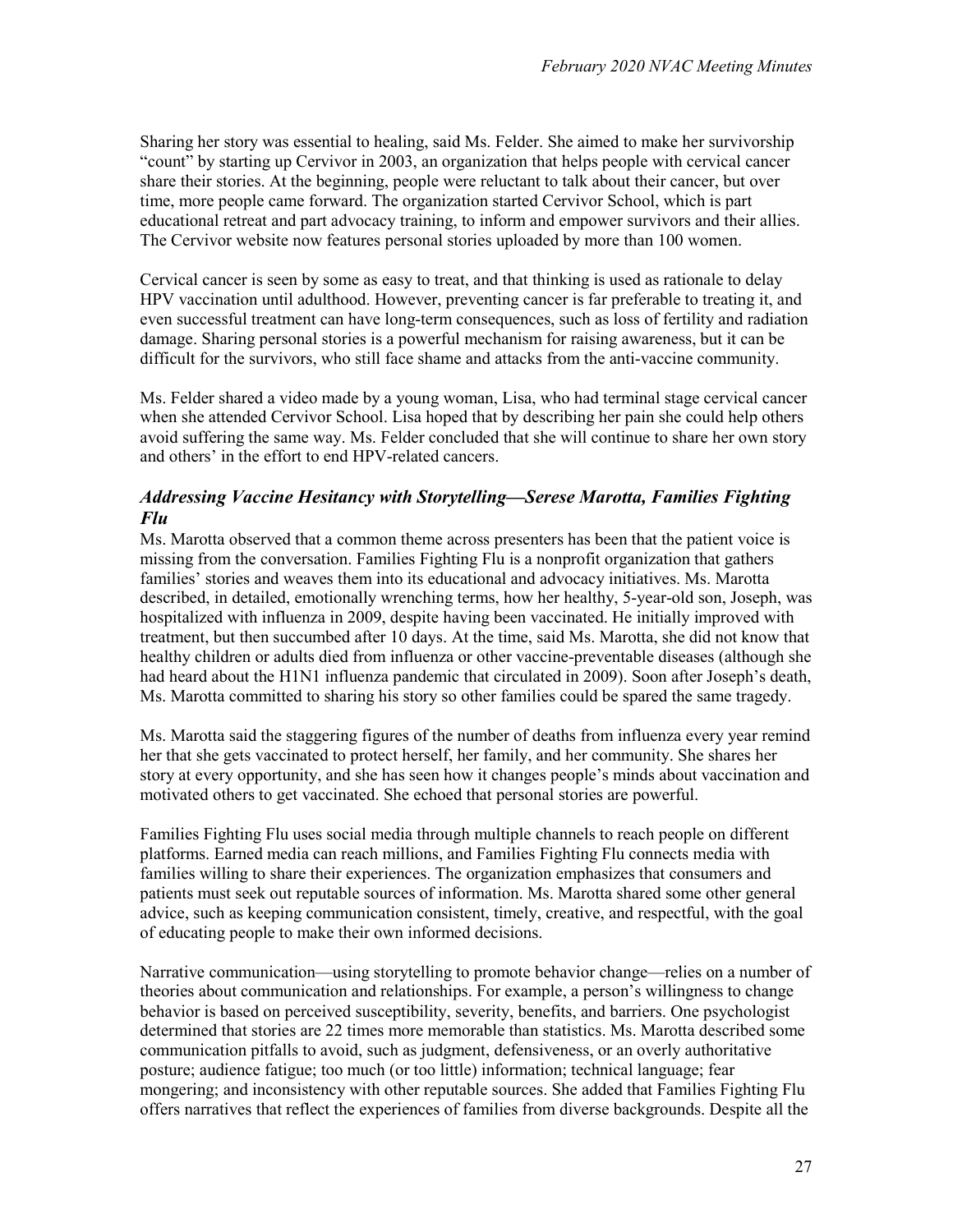Sharing her story was essential to healing, said Ms. Felder. She aimed to make her survivorship "count" by starting up Cervivor in 2003, an organization that helps people with cervical cancer share their stories. At the beginning, people were reluctant to talk about their cancer, but over time, more people came forward. The organization started Cervivor School, which is part educational retreat and part advocacy training, to inform and empower survivors and their allies. The Cervivor website now features personal stories uploaded by more than 100 women.

Cervical cancer is seen by some as easy to treat, and that thinking is used as rationale to delay HPV vaccination until adulthood. However, preventing cancer is far preferable to treating it, and even successful treatment can have long-term consequences, such as loss of fertility and radiation damage. Sharing personal stories is a powerful mechanism for raising awareness, but it can be difficult for the survivors, who still face shame and attacks from the anti-vaccine community.

Ms. Felder shared a video made by a young woman, Lisa, who had terminal stage cervical cancer when she attended Cervivor School. Lisa hoped that by describing her pain she could help others avoid suffering the same way. Ms. Felder concluded that she will continue to share her own story and others' in the effort to end HPV-related cancers.

### *Addressing Vaccine Hesitancy with Storytelling—Serese Marotta, Families Fighting Flu*

Ms. Marotta observed that a common theme across presenters has been that the patient voice is missing from the conversation. Families Fighting Flu is a nonprofit organization that gathers families' stories and weaves them into its educational and advocacy initiatives. Ms. Marotta described, in detailed, emotionally wrenching terms, how her healthy, 5-year-old son, Joseph, was hospitalized with influenza in 2009, despite having been vaccinated. He initially improved with treatment, but then succumbed after 10 days. At the time, said Ms. Marotta, she did not know that healthy children or adults died from influenza or other vaccine-preventable diseases (although she had heard about the H1N1 influenza pandemic that circulated in 2009). Soon after Joseph's death, Ms. Marotta committed to sharing his story so other families could be spared the same tragedy.

Ms. Marotta said the staggering figures of the number of deaths from influenza every year remind her that she gets vaccinated to protect herself, her family, and her community. She shares her story at every opportunity, and she has seen how it changes people's minds about vaccination and motivated others to get vaccinated. She echoed that personal stories are powerful.

Families Fighting Flu uses social media through multiple channels to reach people on different platforms. Earned media can reach millions, and Families Fighting Flu connects media with families willing to share their experiences. The organization emphasizes that consumers and patients must seek out reputable sources of information. Ms. Marotta shared some other general advice, such as keeping communication consistent, timely, creative, and respectful, with the goal of educating people to make their own informed decisions.

Narrative communication—using storytelling to promote behavior change—relies on a number of theories about communication and relationships. For example, a person's willingness to change behavior is based on perceived susceptibility, severity, benefits, and barriers. One psychologist determined that stories are 22 times more memorable than statistics. Ms. Marotta described some communication pitfalls to avoid, such as judgment, defensiveness, or an overly authoritative posture; audience fatigue; too much (or too little) information; technical language; fear mongering; and inconsistency with other reputable sources. She added that Families Fighting Flu offers narratives that reflect the experiences of families from diverse backgrounds. Despite all the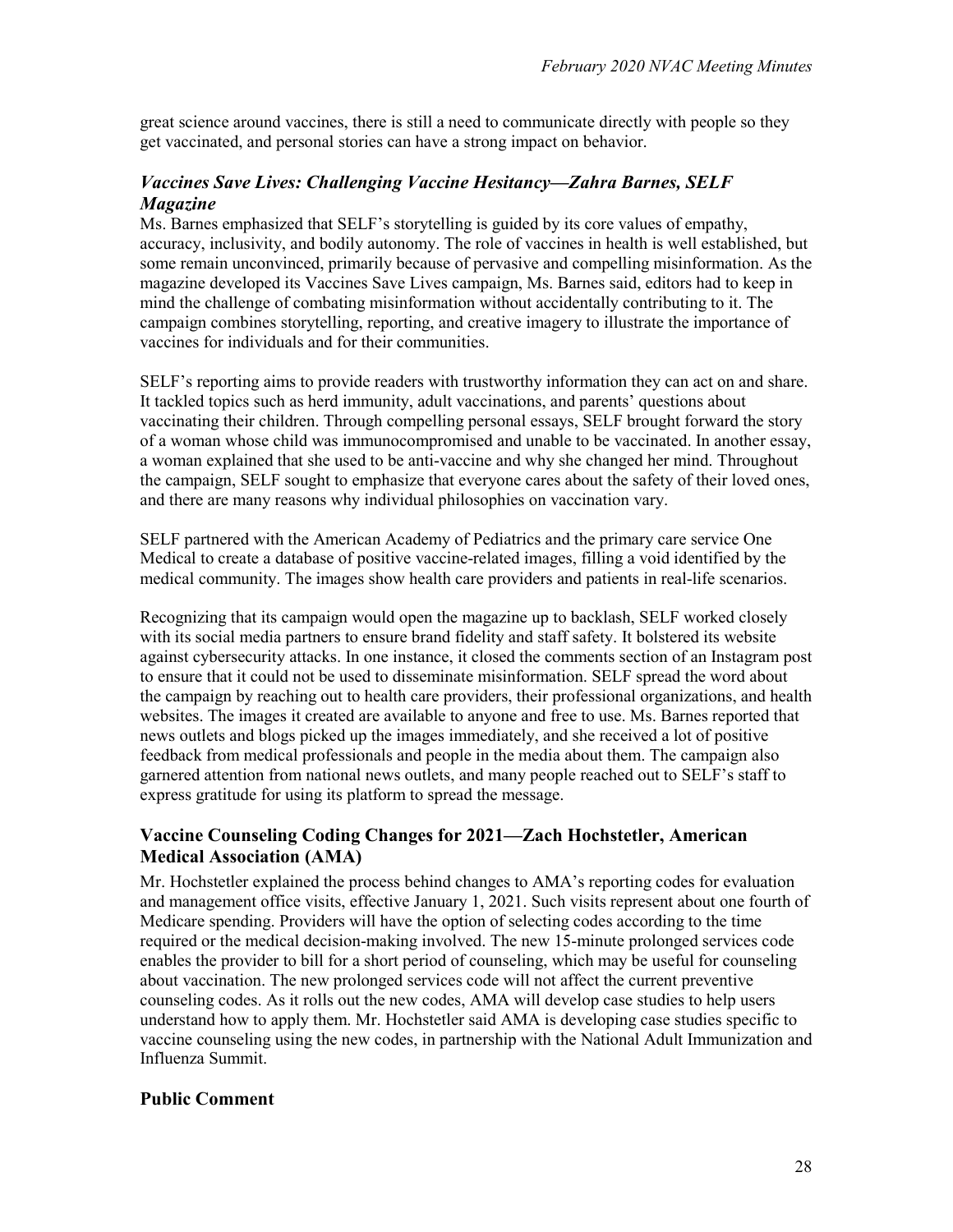great science around vaccines, there is still a need to communicate directly with people so they get vaccinated, and personal stories can have a strong impact on behavior.

### *Vaccines Save Lives: Challenging Vaccine Hesitancy—Zahra Barnes, SELF Magazine*

Ms. Barnes emphasized that SELF's storytelling is guided by its core values of empathy, accuracy, inclusivity, and bodily autonomy. The role of vaccines in health is well established, but some remain unconvinced, primarily because of pervasive and compelling misinformation. As the magazine developed its Vaccines Save Lives campaign, Ms. Barnes said, editors had to keep in mind the challenge of combating misinformation without accidentally contributing to it. The campaign combines storytelling, reporting, and creative imagery to illustrate the importance of vaccines for individuals and for their communities.

SELF's reporting aims to provide readers with trustworthy information they can act on and share. It tackled topics such as herd immunity, adult vaccinations, and parents' questions about vaccinating their children. Through compelling personal essays, SELF brought forward the story of a woman whose child was immunocompromised and unable to be vaccinated. In another essay, a woman explained that she used to be anti-vaccine and why she changed her mind. Throughout the campaign, SELF sought to emphasize that everyone cares about the safety of their loved ones, and there are many reasons why individual philosophies on vaccination vary.

SELF partnered with the American Academy of Pediatrics and the primary care service One Medical to create a database of positive vaccine-related images, filling a void identified by the medical community. The images show health care providers and patients in real-life scenarios.

Recognizing that its campaign would open the magazine up to backlash, SELF worked closely with its social media partners to ensure brand fidelity and staff safety. It bolstered its website against cybersecurity attacks. In one instance, it closed the comments section of an Instagram post to ensure that it could not be used to disseminate misinformation. SELF spread the word about the campaign by reaching out to health care providers, their professional organizations, and health websites. The images it created are available to anyone and free to use. Ms. Barnes reported that news outlets and blogs picked up the images immediately, and she received a lot of positive feedback from medical professionals and people in the media about them. The campaign also garnered attention from national news outlets, and many people reached out to SELF's staff to express gratitude for using its platform to spread the message.

#### **Vaccine Counseling Coding Changes for 2021—Zach Hochstetler, American Medical Association (AMA)**

Mr. Hochstetler explained the process behind changes to AMA's reporting codes for evaluation and management office visits, effective January 1, 2021. Such visits represent about one fourth of Medicare spending. Providers will have the option of selecting codes according to the time required or the medical decision-making involved. The new 15-minute prolonged services code enables the provider to bill for a short period of counseling, which may be useful for counseling about vaccination. The new prolonged services code will not affect the current preventive counseling codes. As it rolls out the new codes, AMA will develop case studies to help users understand how to apply them. Mr. Hochstetler said AMA is developing case studies specific to vaccine counseling using the new codes, in partnership with the National Adult Immunization and Influenza Summit.

#### **Public Comment**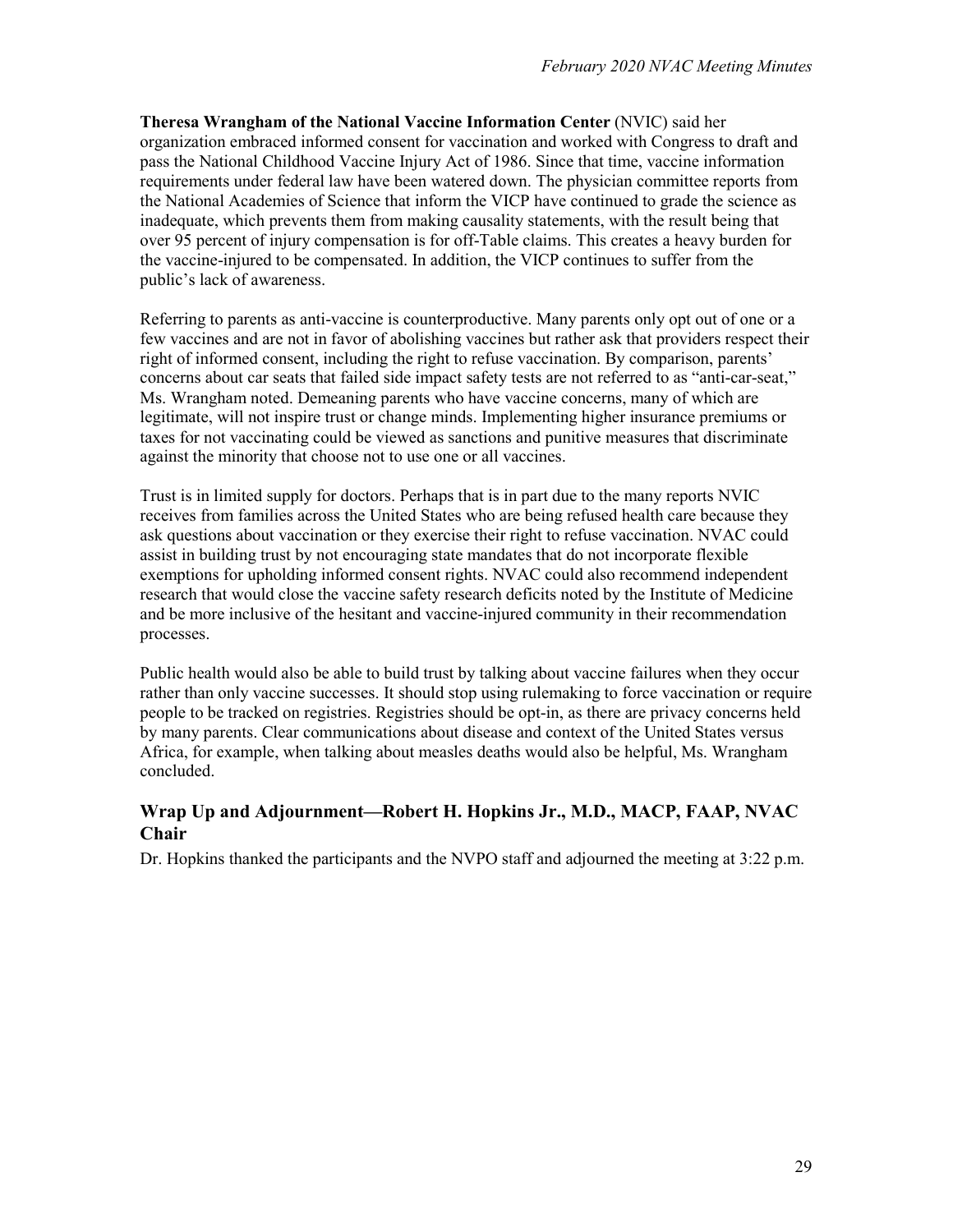**Theresa Wrangham of the National Vaccine Information Center** (NVIC) said her organization embraced informed consent for vaccination and worked with Congress to draft and pass the National Childhood Vaccine Injury Act of 1986. Since that time, vaccine information requirements under federal law have been watered down. The physician committee reports from the National Academies of Science that inform the VICP have continued to grade the science as inadequate, which prevents them from making causality statements, with the result being that over 95 percent of injury compensation is for off-Table claims. This creates a heavy burden for the vaccine-injured to be compensated. In addition, the VICP continues to suffer from the public's lack of awareness.

Referring to parents as anti-vaccine is counterproductive. Many parents only opt out of one or a few vaccines and are not in favor of abolishing vaccines but rather ask that providers respect their right of informed consent, including the right to refuse vaccination. By comparison, parents' concerns about car seats that failed side impact safety tests are not referred to as "anti-car-seat," Ms. Wrangham noted. Demeaning parents who have vaccine concerns, many of which are legitimate, will not inspire trust or change minds. Implementing higher insurance premiums or taxes for not vaccinating could be viewed as sanctions and punitive measures that discriminate against the minority that choose not to use one or all vaccines.

Trust is in limited supply for doctors. Perhaps that is in part due to the many reports NVIC receives from families across the United States who are being refused health care because they ask questions about vaccination or they exercise their right to refuse vaccination. NVAC could assist in building trust by not encouraging state mandates that do not incorporate flexible exemptions for upholding informed consent rights. NVAC could also recommend independent research that would close the vaccine safety research deficits noted by the Institute of Medicine and be more inclusive of the hesitant and vaccine-injured community in their recommendation processes.

Public health would also be able to build trust by talking about vaccine failures when they occur rather than only vaccine successes. It should stop using rulemaking to force vaccination or require people to be tracked on registries. Registries should be opt-in, as there are privacy concerns held by many parents. Clear communications about disease and context of the United States versus Africa, for example, when talking about measles deaths would also be helpful, Ms. Wrangham concluded.

### **Wrap Up and Adjournment—Robert H. Hopkins Jr., M.D., MACP, FAAP, NVAC Chair**

Dr. Hopkins thanked the participants and the NVPO staff and adjourned the meeting at 3:22 p.m.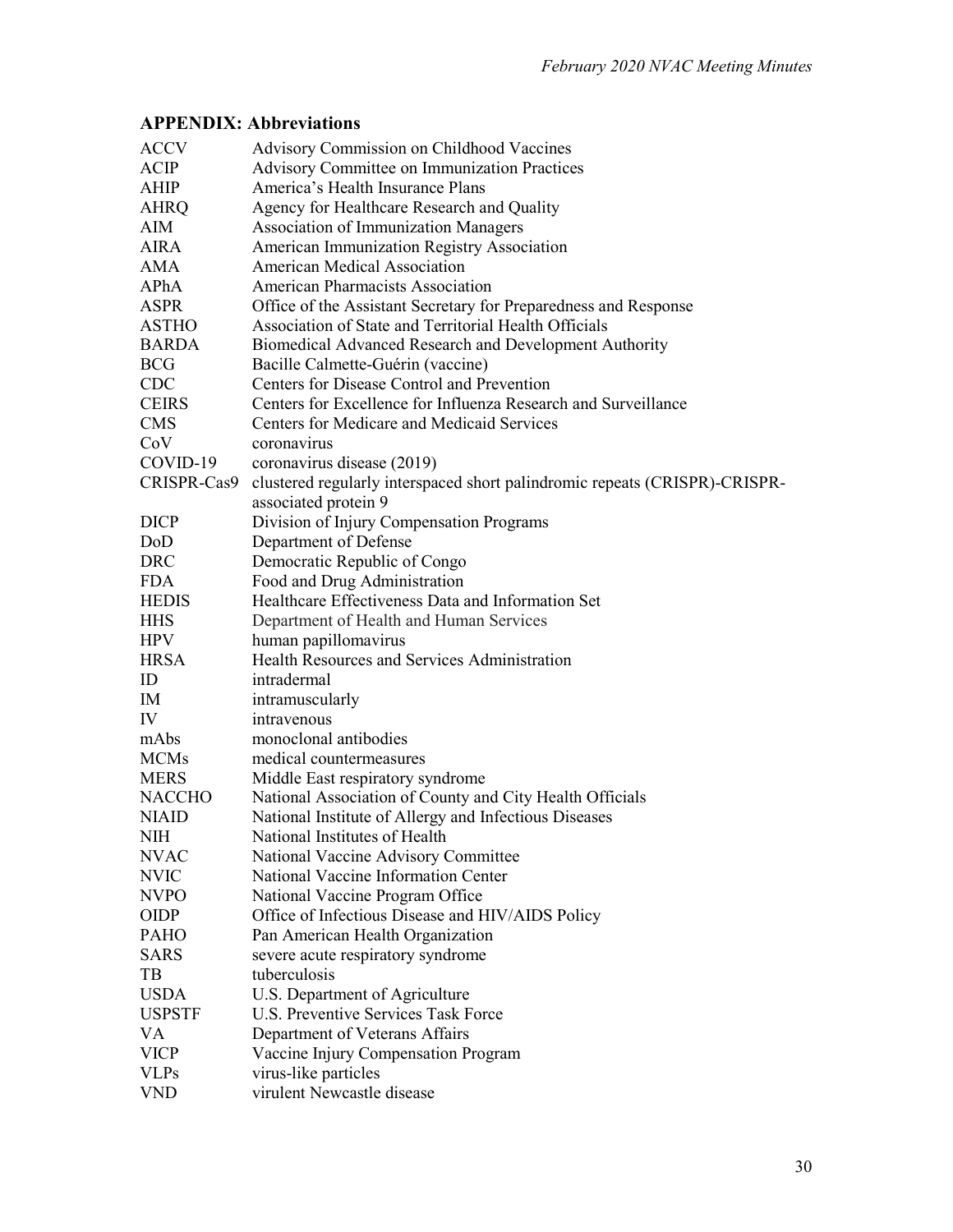## **APPENDIX: Abbreviations**

| <b>ACCV</b>   | <b>Advisory Commission on Childhood Vaccines</b>                           |
|---------------|----------------------------------------------------------------------------|
| ACIP          | <b>Advisory Committee on Immunization Practices</b>                        |
| AHIP          | America's Health Insurance Plans                                           |
| <b>AHRQ</b>   | Agency for Healthcare Research and Quality                                 |
| AIM           | Association of Immunization Managers                                       |
| <b>AIRA</b>   | American Immunization Registry Association                                 |
| AMA           | <b>American Medical Association</b>                                        |
| APhA          | <b>American Pharmacists Association</b>                                    |
| <b>ASPR</b>   | Office of the Assistant Secretary for Preparedness and Response            |
| <b>ASTHO</b>  | Association of State and Territorial Health Officials                      |
| <b>BARDA</b>  | Biomedical Advanced Research and Development Authority                     |
| <b>BCG</b>    | Bacille Calmette-Guérin (vaccine)                                          |
| CDC           | Centers for Disease Control and Prevention                                 |
| <b>CEIRS</b>  | Centers for Excellence for Influenza Research and Surveillance             |
| <b>CMS</b>    | Centers for Medicare and Medicaid Services                                 |
| CoV           | coronavirus                                                                |
| COVID-19      | coronavirus disease (2019)                                                 |
| CRISPR-Cas9   | clustered regularly interspaced short palindromic repeats (CRISPR)-CRISPR- |
|               | associated protein 9                                                       |
| <b>DICP</b>   | Division of Injury Compensation Programs                                   |
| DoD           | Department of Defense                                                      |
| <b>DRC</b>    | Democratic Republic of Congo                                               |
| <b>FDA</b>    | Food and Drug Administration                                               |
| <b>HEDIS</b>  | Healthcare Effectiveness Data and Information Set                          |
| <b>HHS</b>    | Department of Health and Human Services                                    |
| <b>HPV</b>    | human papillomavirus                                                       |
| <b>HRSA</b>   | Health Resources and Services Administration                               |
| ID            | intradermal                                                                |
| IM            | intramuscularly                                                            |
| IV            | intravenous                                                                |
| mAbs          | monoclonal antibodies                                                      |
| <b>MCMs</b>   | medical countermeasures                                                    |
| <b>MERS</b>   | Middle East respiratory syndrome                                           |
| <b>NACCHO</b> | National Association of County and City Health Officials                   |
| <b>NIAID</b>  | National Institute of Allergy and Infectious Diseases                      |
| <b>NIH</b>    | National Institutes of Health                                              |
| <b>NVAC</b>   | National Vaccine Advisory Committee                                        |
| <b>NVIC</b>   | National Vaccine Information Center                                        |
| <b>NVPO</b>   | National Vaccine Program Office                                            |
| <b>OIDP</b>   | Office of Infectious Disease and HIV/AIDS Policy                           |
| <b>PAHO</b>   | Pan American Health Organization                                           |
| <b>SARS</b>   | severe acute respiratory syndrome                                          |
| TB            | tuberculosis                                                               |
| <b>USDA</b>   | U.S. Department of Agriculture                                             |
| <b>USPSTF</b> | U.S. Preventive Services Task Force                                        |
| VA            | Department of Veterans Affairs                                             |
| <b>VICP</b>   | Vaccine Injury Compensation Program                                        |
| <b>VLPs</b>   | virus-like particles                                                       |
| <b>VND</b>    | virulent Newcastle disease                                                 |